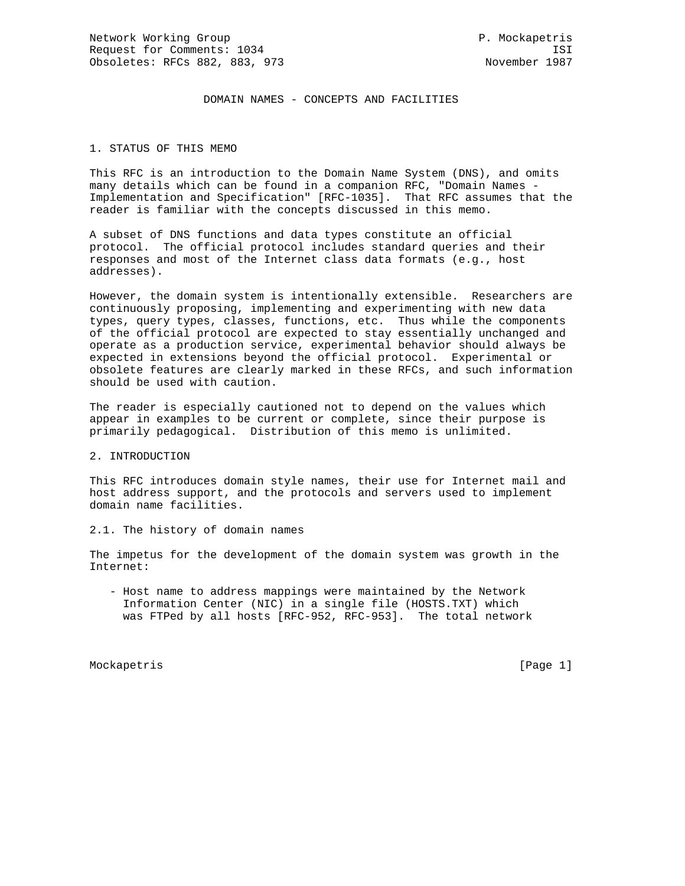Network Working Group **P. Mockapetris** Request for Comments: 1034 ISI Obsoletes: RFCs 882, 883, 973 November 1987

DOMAIN NAMES - CONCEPTS AND FACILITIES

1. STATUS OF THIS MEMO

This RFC is an introduction to the Domain Name System (DNS), and omits many details which can be found in a companion RFC, "Domain Names - Implementation and Specification" [RFC-1035]. That RFC assumes that the reader is familiar with the concepts discussed in this memo.

A subset of DNS functions and data types constitute an official protocol. The official protocol includes standard queries and their responses and most of the Internet class data formats (e.g., host addresses).

However, the domain system is intentionally extensible. Researchers are continuously proposing, implementing and experimenting with new data types, query types, classes, functions, etc. Thus while the components of the official protocol are expected to stay essentially unchanged and operate as a production service, experimental behavior should always be expected in extensions beyond the official protocol. Experimental or obsolete features are clearly marked in these RFCs, and such information should be used with caution.

The reader is especially cautioned not to depend on the values which appear in examples to be current or complete, since their purpose is primarily pedagogical. Distribution of this memo is unlimited.

2. INTRODUCTION

This RFC introduces domain style names, their use for Internet mail and host address support, and the protocols and servers used to implement domain name facilities.

2.1. The history of domain names

The impetus for the development of the domain system was growth in the Internet:

 - Host name to address mappings were maintained by the Network Information Center (NIC) in a single file (HOSTS.TXT) which was FTPed by all hosts [RFC-952, RFC-953]. The total network

Mockapetris [Page 1]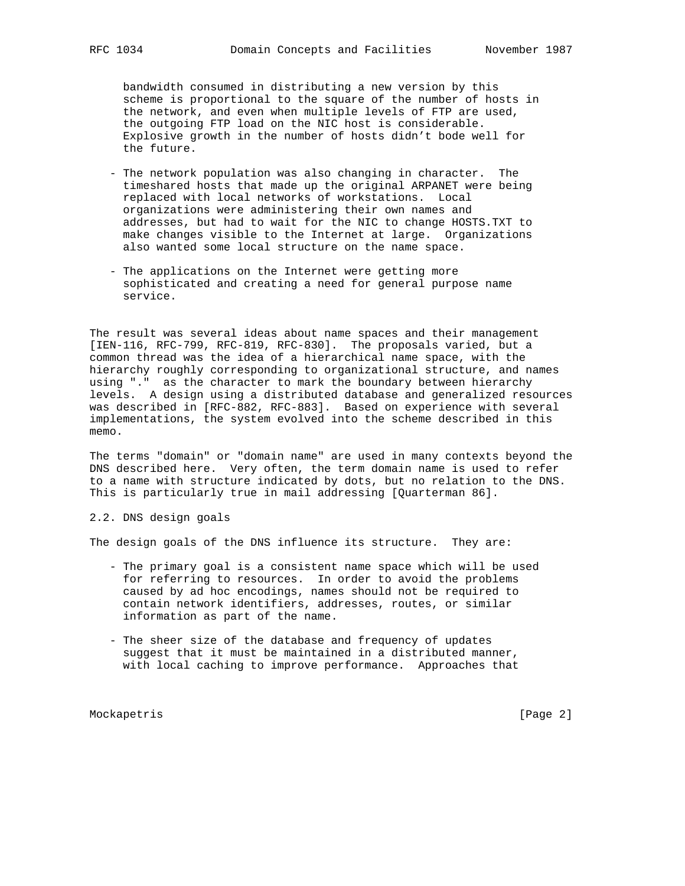bandwidth consumed in distributing a new version by this scheme is proportional to the square of the number of hosts in the network, and even when multiple levels of FTP are used, the outgoing FTP load on the NIC host is considerable. Explosive growth in the number of hosts didn't bode well for the future.

- The network population was also changing in character. The timeshared hosts that made up the original ARPANET were being replaced with local networks of workstations. Local organizations were administering their own names and addresses, but had to wait for the NIC to change HOSTS.TXT to make changes visible to the Internet at large. Organizations also wanted some local structure on the name space.
- The applications on the Internet were getting more sophisticated and creating a need for general purpose name service.

The result was several ideas about name spaces and their management [IEN-116, RFC-799, RFC-819, RFC-830]. The proposals varied, but a common thread was the idea of a hierarchical name space, with the hierarchy roughly corresponding to organizational structure, and names using "." as the character to mark the boundary between hierarchy levels. A design using a distributed database and generalized resources was described in [RFC-882, RFC-883]. Based on experience with several implementations, the system evolved into the scheme described in this memo.

The terms "domain" or "domain name" are used in many contexts beyond the DNS described here. Very often, the term domain name is used to refer to a name with structure indicated by dots, but no relation to the DNS. This is particularly true in mail addressing [Quarterman 86].

2.2. DNS design goals

The design goals of the DNS influence its structure. They are:

- The primary goal is a consistent name space which will be used for referring to resources. In order to avoid the problems caused by ad hoc encodings, names should not be required to contain network identifiers, addresses, routes, or similar information as part of the name.
- The sheer size of the database and frequency of updates suggest that it must be maintained in a distributed manner, with local caching to improve performance. Approaches that

Mockapetris [Page 2]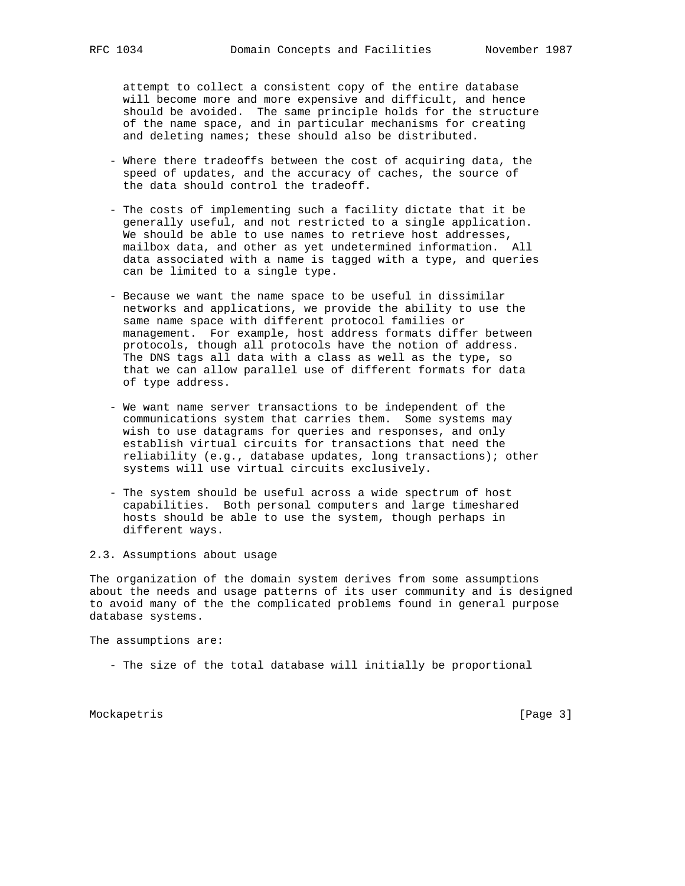attempt to collect a consistent copy of the entire database will become more and more expensive and difficult, and hence should be avoided. The same principle holds for the structure of the name space, and in particular mechanisms for creating and deleting names; these should also be distributed.

- Where there tradeoffs between the cost of acquiring data, the speed of updates, and the accuracy of caches, the source of the data should control the tradeoff.
- The costs of implementing such a facility dictate that it be generally useful, and not restricted to a single application. We should be able to use names to retrieve host addresses, mailbox data, and other as yet undetermined information. All data associated with a name is tagged with a type, and queries can be limited to a single type.
- Because we want the name space to be useful in dissimilar networks and applications, we provide the ability to use the same name space with different protocol families or management. For example, host address formats differ between protocols, though all protocols have the notion of address. The DNS tags all data with a class as well as the type, so that we can allow parallel use of different formats for data of type address.
- We want name server transactions to be independent of the communications system that carries them. Some systems may wish to use datagrams for queries and responses, and only establish virtual circuits for transactions that need the reliability (e.g., database updates, long transactions); other systems will use virtual circuits exclusively.
- The system should be useful across a wide spectrum of host capabilities. Both personal computers and large timeshared hosts should be able to use the system, though perhaps in different ways.
- 2.3. Assumptions about usage

The organization of the domain system derives from some assumptions about the needs and usage patterns of its user community and is designed to avoid many of the the complicated problems found in general purpose database systems.

The assumptions are:

- The size of the total database will initially be proportional

Mockapetris [Page 3]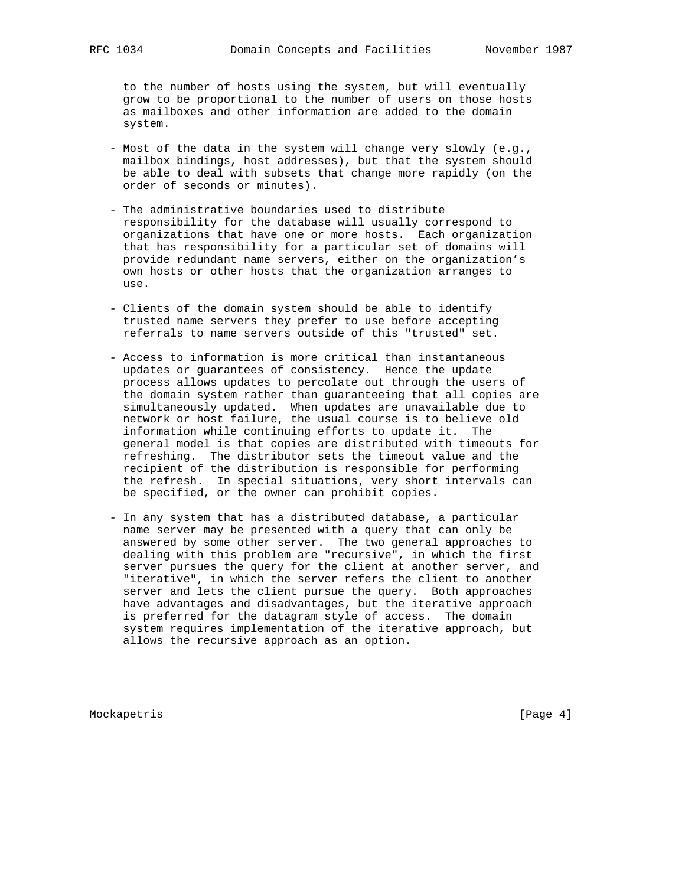to the number of hosts using the system, but will eventually grow to be proportional to the number of users on those hosts as mailboxes and other information are added to the domain system.

- Most of the data in the system will change very slowly (e.g., mailbox bindings, host addresses), but that the system should be able to deal with subsets that change more rapidly (on the order of seconds or minutes).
- The administrative boundaries used to distribute responsibility for the database will usually correspond to organizations that have one or more hosts. Each organization that has responsibility for a particular set of domains will provide redundant name servers, either on the organization's own hosts or other hosts that the organization arranges to use.
- Clients of the domain system should be able to identify trusted name servers they prefer to use before accepting referrals to name servers outside of this "trusted" set.
- Access to information is more critical than instantaneous updates or guarantees of consistency. Hence the update process allows updates to percolate out through the users of the domain system rather than guaranteeing that all copies are simultaneously updated. When updates are unavailable due to network or host failure, the usual course is to believe old information while continuing efforts to update it. The general model is that copies are distributed with timeouts for refreshing. The distributor sets the timeout value and the recipient of the distribution is responsible for performing the refresh. In special situations, very short intervals can be specified, or the owner can prohibit copies.
	- In any system that has a distributed database, a particular name server may be presented with a query that can only be answered by some other server. The two general approaches to dealing with this problem are "recursive", in which the first server pursues the query for the client at another server, and "iterative", in which the server refers the client to another server and lets the client pursue the query. Both approaches have advantages and disadvantages, but the iterative approach is preferred for the datagram style of access. The domain system requires implementation of the iterative approach, but allows the recursive approach as an option.

Mockapetris [Page 4]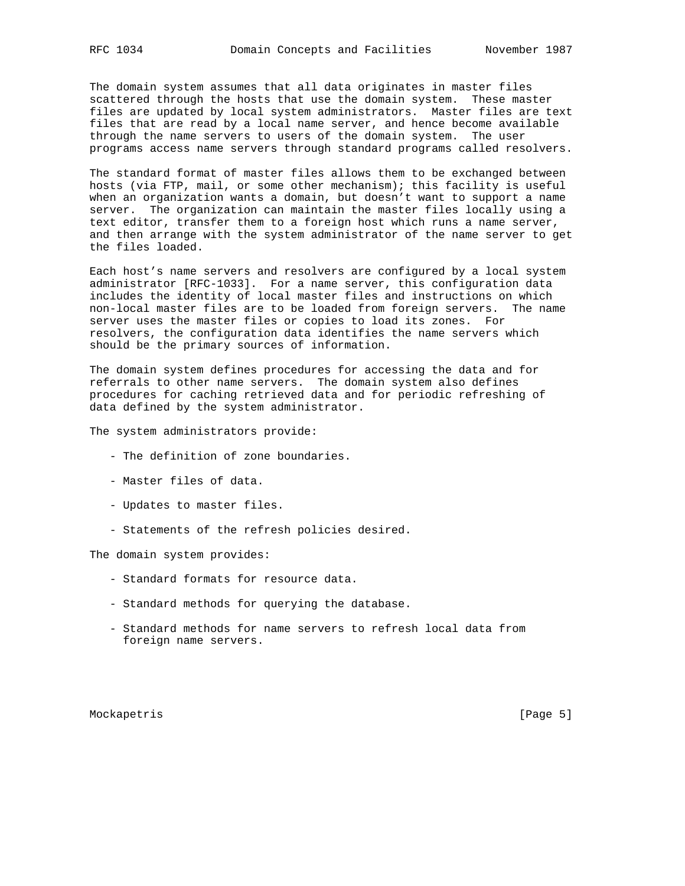The domain system assumes that all data originates in master files scattered through the hosts that use the domain system. These master files are updated by local system administrators. Master files are text files that are read by a local name server, and hence become available through the name servers to users of the domain system. The user programs access name servers through standard programs called resolvers.

The standard format of master files allows them to be exchanged between hosts (via FTP, mail, or some other mechanism); this facility is useful when an organization wants a domain, but doesn't want to support a name server. The organization can maintain the master files locally using a text editor, transfer them to a foreign host which runs a name server, and then arrange with the system administrator of the name server to get the files loaded.

Each host's name servers and resolvers are configured by a local system administrator [RFC-1033]. For a name server, this configuration data includes the identity of local master files and instructions on which non-local master files are to be loaded from foreign servers. The name server uses the master files or copies to load its zones. For resolvers, the configuration data identifies the name servers which should be the primary sources of information.

The domain system defines procedures for accessing the data and for referrals to other name servers. The domain system also defines procedures for caching retrieved data and for periodic refreshing of data defined by the system administrator.

The system administrators provide:

- The definition of zone boundaries.
- Master files of data.
- Updates to master files.
- Statements of the refresh policies desired.

The domain system provides:

- Standard formats for resource data.
- Standard methods for querying the database.
- Standard methods for name servers to refresh local data from foreign name servers.

Mockapetris [Page 5]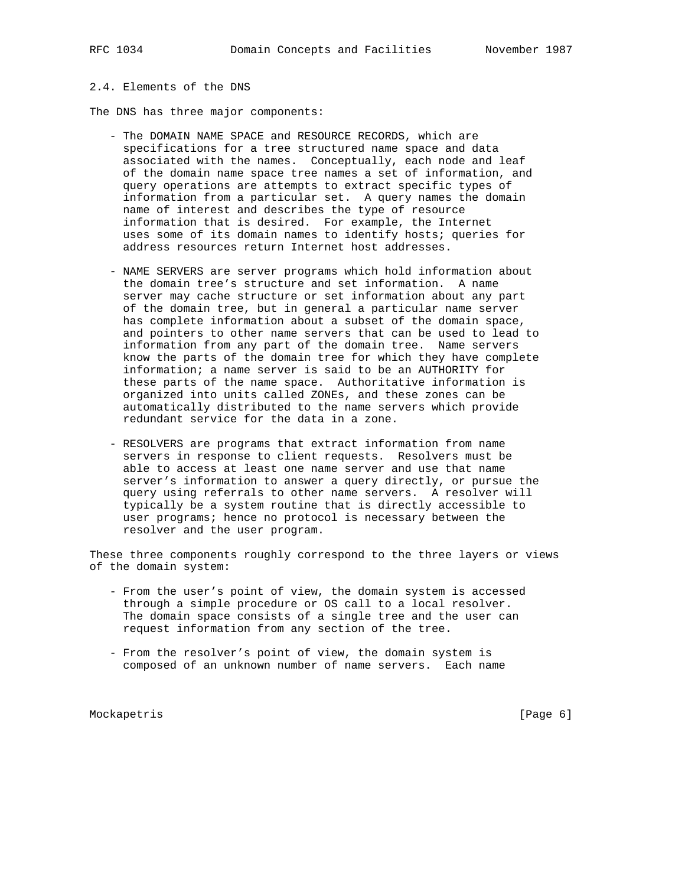## 2.4. Elements of the DNS

The DNS has three major components:

- The DOMAIN NAME SPACE and RESOURCE RECORDS, which are specifications for a tree structured name space and data associated with the names. Conceptually, each node and leaf of the domain name space tree names a set of information, and query operations are attempts to extract specific types of information from a particular set. A query names the domain name of interest and describes the type of resource information that is desired. For example, the Internet uses some of its domain names to identify hosts; queries for address resources return Internet host addresses.
- NAME SERVERS are server programs which hold information about the domain tree's structure and set information. A name server may cache structure or set information about any part of the domain tree, but in general a particular name server has complete information about a subset of the domain space, and pointers to other name servers that can be used to lead to information from any part of the domain tree. Name servers know the parts of the domain tree for which they have complete information; a name server is said to be an AUTHORITY for these parts of the name space. Authoritative information is organized into units called ZONEs, and these zones can be automatically distributed to the name servers which provide redundant service for the data in a zone.
- RESOLVERS are programs that extract information from name servers in response to client requests. Resolvers must be able to access at least one name server and use that name server's information to answer a query directly, or pursue the query using referrals to other name servers. A resolver will typically be a system routine that is directly accessible to user programs; hence no protocol is necessary between the resolver and the user program.

These three components roughly correspond to the three layers or views of the domain system:

- From the user's point of view, the domain system is accessed through a simple procedure or OS call to a local resolver. The domain space consists of a single tree and the user can request information from any section of the tree.
- From the resolver's point of view, the domain system is composed of an unknown number of name servers. Each name

Mockapetris [Page 6]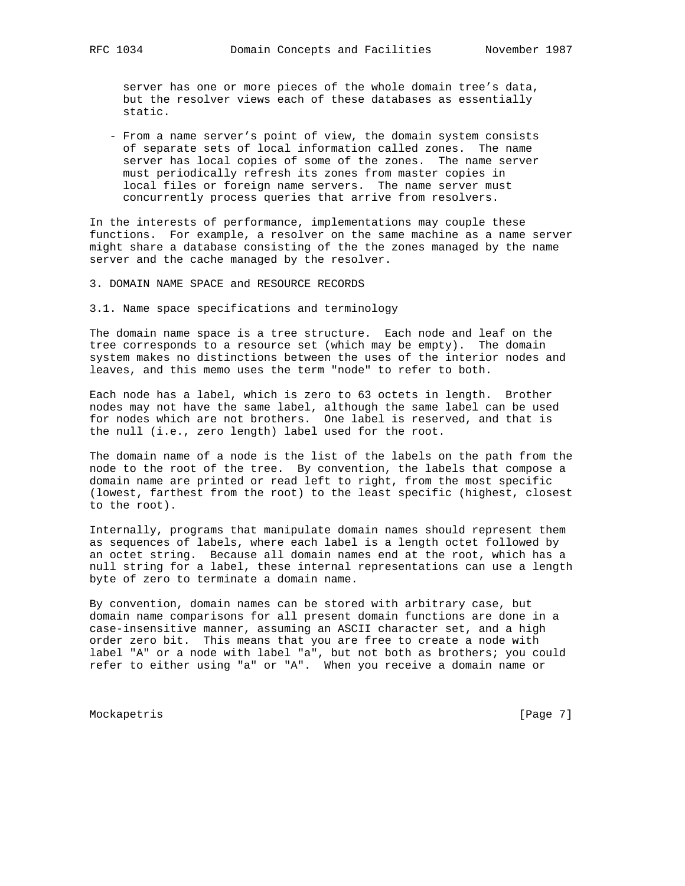server has one or more pieces of the whole domain tree's data, but the resolver views each of these databases as essentially static.

 - From a name server's point of view, the domain system consists of separate sets of local information called zones. The name server has local copies of some of the zones. The name server must periodically refresh its zones from master copies in local files or foreign name servers. The name server must concurrently process queries that arrive from resolvers.

In the interests of performance, implementations may couple these functions. For example, a resolver on the same machine as a name server might share a database consisting of the the zones managed by the name server and the cache managed by the resolver.

3. DOMAIN NAME SPACE and RESOURCE RECORDS

3.1. Name space specifications and terminology

The domain name space is a tree structure. Each node and leaf on the tree corresponds to a resource set (which may be empty). The domain system makes no distinctions between the uses of the interior nodes and leaves, and this memo uses the term "node" to refer to both.

Each node has a label, which is zero to 63 octets in length. Brother nodes may not have the same label, although the same label can be used for nodes which are not brothers. One label is reserved, and that is the null (i.e., zero length) label used for the root.

The domain name of a node is the list of the labels on the path from the node to the root of the tree. By convention, the labels that compose a domain name are printed or read left to right, from the most specific (lowest, farthest from the root) to the least specific (highest, closest to the root).

Internally, programs that manipulate domain names should represent them as sequences of labels, where each label is a length octet followed by an octet string. Because all domain names end at the root, which has a null string for a label, these internal representations can use a length byte of zero to terminate a domain name.

By convention, domain names can be stored with arbitrary case, but domain name comparisons for all present domain functions are done in a case-insensitive manner, assuming an ASCII character set, and a high order zero bit. This means that you are free to create a node with label "A" or a node with label "a", but not both as brothers; you could refer to either using "a" or "A". When you receive a domain name or

Mockapetris [Page 7]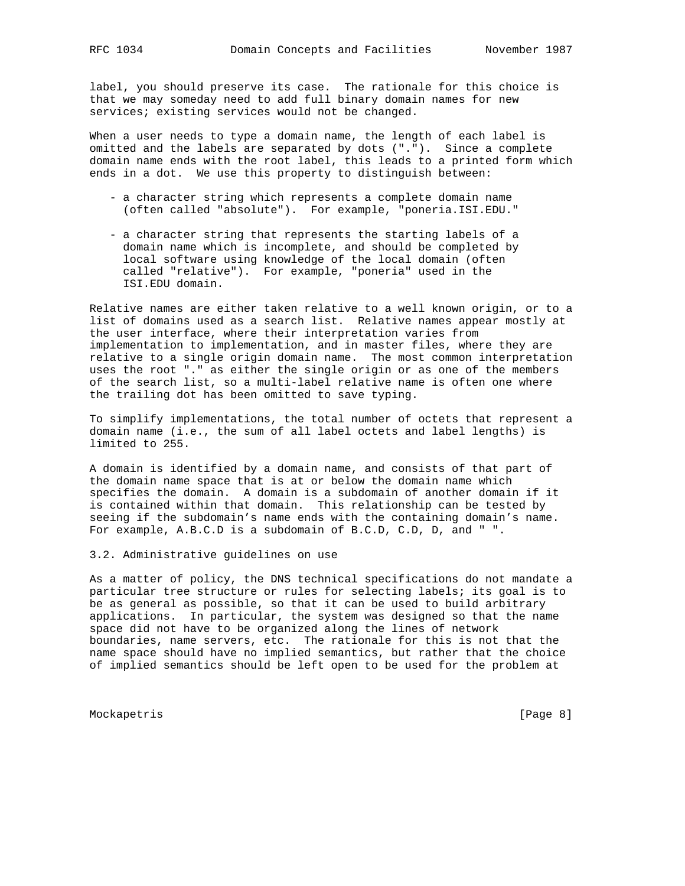label, you should preserve its case. The rationale for this choice is that we may someday need to add full binary domain names for new services; existing services would not be changed.

When a user needs to type a domain name, the length of each label is omitted and the labels are separated by dots ("."). Since a complete domain name ends with the root label, this leads to a printed form which ends in a dot. We use this property to distinguish between:

- a character string which represents a complete domain name (often called "absolute"). For example, "poneria.ISI.EDU."
- a character string that represents the starting labels of a domain name which is incomplete, and should be completed by local software using knowledge of the local domain (often called "relative"). For example, "poneria" used in the ISI.EDU domain.

Relative names are either taken relative to a well known origin, or to a list of domains used as a search list. Relative names appear mostly at the user interface, where their interpretation varies from implementation to implementation, and in master files, where they are relative to a single origin domain name. The most common interpretation uses the root "." as either the single origin or as one of the members of the search list, so a multi-label relative name is often one where the trailing dot has been omitted to save typing.

To simplify implementations, the total number of octets that represent a domain name (i.e., the sum of all label octets and label lengths) is limited to 255.

A domain is identified by a domain name, and consists of that part of the domain name space that is at or below the domain name which specifies the domain. A domain is a subdomain of another domain if it is contained within that domain. This relationship can be tested by seeing if the subdomain's name ends with the containing domain's name. For example, A.B.C.D is a subdomain of B.C.D, C.D, D, and " ".

3.2. Administrative guidelines on use

As a matter of policy, the DNS technical specifications do not mandate a particular tree structure or rules for selecting labels; its goal is to be as general as possible, so that it can be used to build arbitrary applications. In particular, the system was designed so that the name space did not have to be organized along the lines of network boundaries, name servers, etc. The rationale for this is not that the name space should have no implied semantics, but rather that the choice of implied semantics should be left open to be used for the problem at

Mockapetris [Page 8]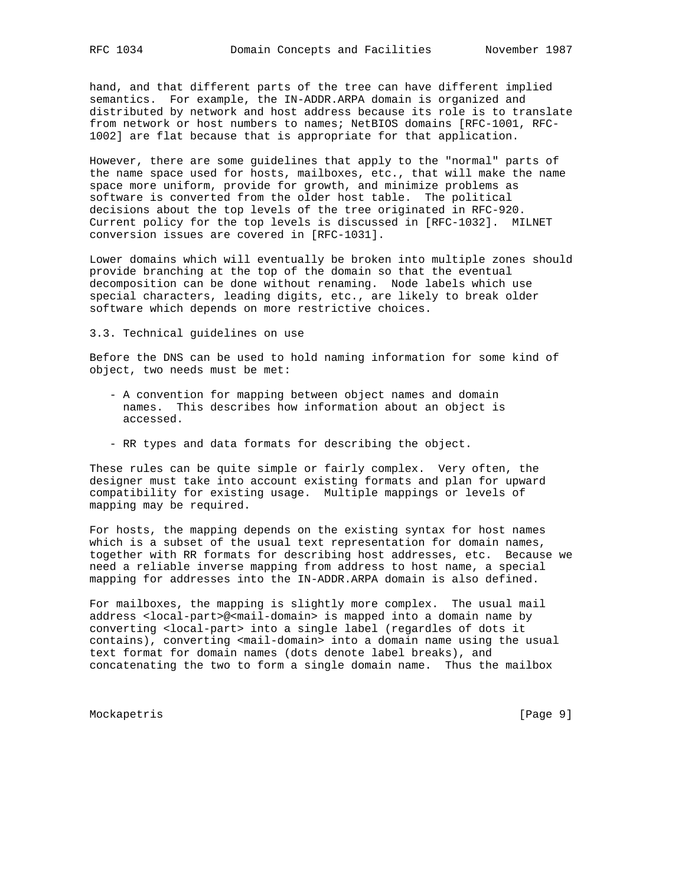hand, and that different parts of the tree can have different implied semantics. For example, the IN-ADDR.ARPA domain is organized and distributed by network and host address because its role is to translate from network or host numbers to names; NetBIOS domains [RFC-1001, RFC-1002] are flat because that is appropriate for that application.

However, there are some guidelines that apply to the "normal" parts of the name space used for hosts, mailboxes, etc., that will make the name space more uniform, provide for growth, and minimize problems as software is converted from the older host table. The political decisions about the top levels of the tree originated in RFC-920. Current policy for the top levels is discussed in [RFC-1032]. MILNET conversion issues are covered in [RFC-1031].

Lower domains which will eventually be broken into multiple zones should provide branching at the top of the domain so that the eventual decomposition can be done without renaming. Node labels which use special characters, leading digits, etc., are likely to break older software which depends on more restrictive choices.

#### 3.3. Technical guidelines on use

Before the DNS can be used to hold naming information for some kind of object, two needs must be met:

- A convention for mapping between object names and domain names. This describes how information about an object is accessed.
- RR types and data formats for describing the object.

These rules can be quite simple or fairly complex. Very often, the designer must take into account existing formats and plan for upward compatibility for existing usage. Multiple mappings or levels of mapping may be required.

For hosts, the mapping depends on the existing syntax for host names which is a subset of the usual text representation for domain names, together with RR formats for describing host addresses, etc. Because we need a reliable inverse mapping from address to host name, a special mapping for addresses into the IN-ADDR.ARPA domain is also defined.

For mailboxes, the mapping is slightly more complex. The usual mail address <local-part>@<mail-domain> is mapped into a domain name by converting <local-part> into a single label (regardles of dots it contains), converting <mail-domain> into a domain name using the usual text format for domain names (dots denote label breaks), and concatenating the two to form a single domain name. Thus the mailbox

Mockapetris [Page 9]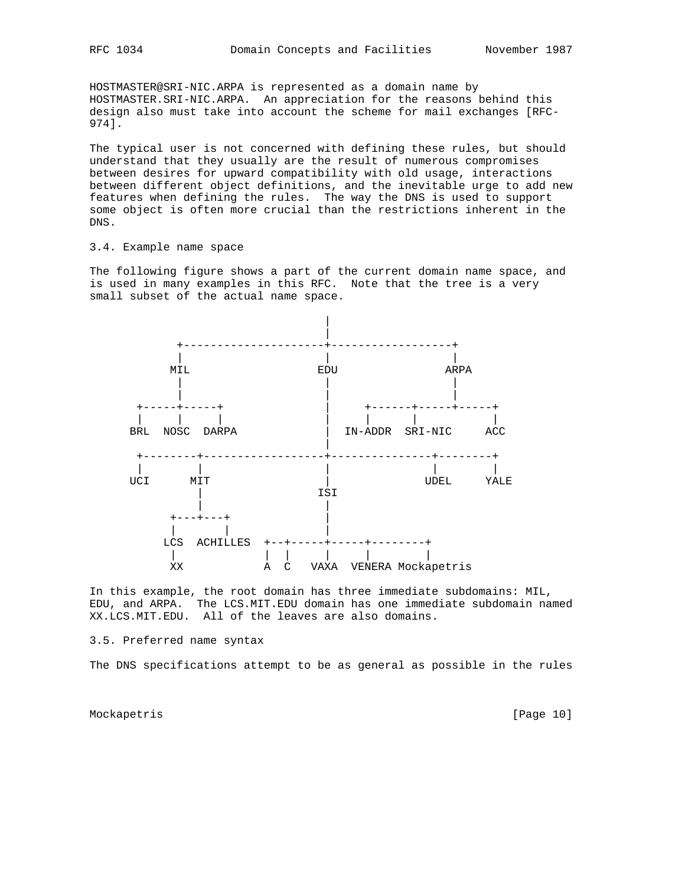HOSTMASTER@SRI-NIC.ARPA is represented as a domain name by HOSTMASTER.SRI-NIC.ARPA. An appreciation for the reasons behind this design also must take into account the scheme for mail exchanges [RFC-974].

The typical user is not concerned with defining these rules, but should understand that they usually are the result of numerous compromises between desires for upward compatibility with old usage, interactions between different object definitions, and the inevitable urge to add new features when defining the rules. The way the DNS is used to support some object is often more crucial than the restrictions inherent in the DNS.

### 3.4. Example name space

The following figure shows a part of the current domain name space, and is used in many examples in this RFC. Note that the tree is a very small subset of the actual name space.



In this example, the root domain has three immediate subdomains: MIL, EDU, and ARPA. The LCS.MIT.EDU domain has one immediate subdomain named XX.LCS.MIT.EDU. All of the leaves are also domains.

### 3.5. Preferred name syntax

The DNS specifications attempt to be as general as possible in the rules

Mockapetris [Page 10]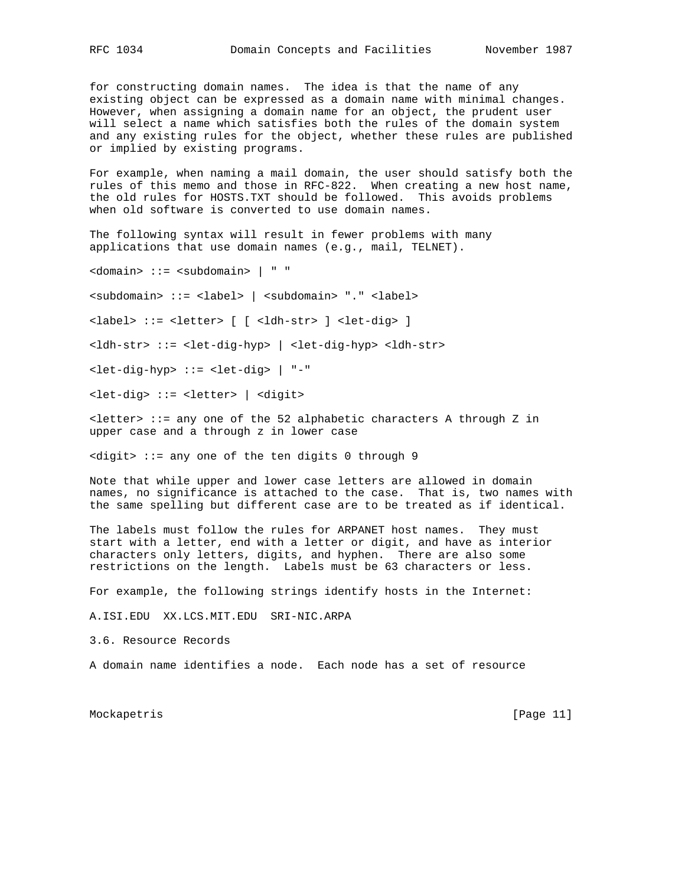for constructing domain names. The idea is that the name of any existing object can be expressed as a domain name with minimal changes. However, when assigning a domain name for an object, the prudent user will select a name which satisfies both the rules of the domain system and any existing rules for the object, whether these rules are published or implied by existing programs.

For example, when naming a mail domain, the user should satisfy both the rules of this memo and those in RFC-822. When creating a new host name, the old rules for HOSTS.TXT should be followed. This avoids problems when old software is converted to use domain names.

The following syntax will result in fewer problems with many applications that use domain names (e.g., mail, TELNET).

<domain> ::= <subdomain> | " "

<subdomain> ::= <label> | <subdomain> "." <label>

<label> ::= <letter> [ [ <ldh-str> ] <let-dig> ]

<ldh-str> ::= <let-dig-hyp> | <let-dig-hyp> <ldh-str>

<let-dig-hyp> ::= <let-dig> | "-"

<let-dig> ::= <letter> | <digit>

<letter> ::= any one of the 52 alphabetic characters A through Z in upper case and a through z in lower case

<digit> ::= any one of the ten digits 0 through 9

Note that while upper and lower case letters are allowed in domain names, no significance is attached to the case. That is, two names with the same spelling but different case are to be treated as if identical.

The labels must follow the rules for ARPANET host names. They must start with a letter, end with a letter or digit, and have as interior characters only letters, digits, and hyphen. There are also some restrictions on the length. Labels must be 63 characters or less.

For example, the following strings identify hosts in the Internet:

A.ISI.EDU XX.LCS.MIT.EDU SRI-NIC.ARPA

3.6. Resource Records

A domain name identifies a node. Each node has a set of resource

Mockapetris [Page 11]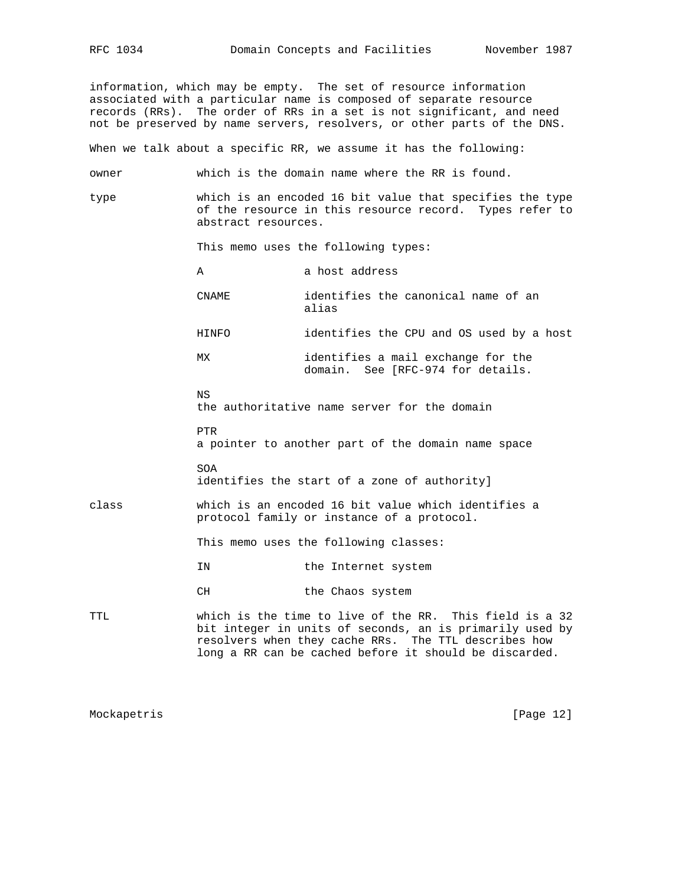information, which may be empty. The set of resource information associated with a particular name is composed of separate resource records (RRs). The order of RRs in a set is not significant, and need not be preserved by name servers, resolvers, or other parts of the DNS.

When we talk about a specific RR, we assume it has the following:

owner which is the domain name where the RR is found.

- type which is an encoded 16 bit value that specifies the type of the resource in this resource record. Types refer to abstract resources.
	- This memo uses the following types:
	- A a host address
	- CNAME identifies the canonical name of an alias
	- HINFO identifies the CPU and OS used by a host
	- MX identifies a mail exchange for the domain. See [RFC-974 for details.
- NS NS the authoritative name server for the domain
	- PTR a pointer to another part of the domain name space
	- SOA identifies the start of a zone of authority]
- class which is an encoded 16 bit value which identifies a protocol family or instance of a protocol.

This memo uses the following classes:

IN the Internet system

CH the Chaos system

TTL which is the time to live of the RR. This field is a 32 bit integer in units of seconds, an is primarily used by resolvers when they cache RRs. The TTL describes how long a RR can be cached before it should be discarded.

Mockapetris [Page 12]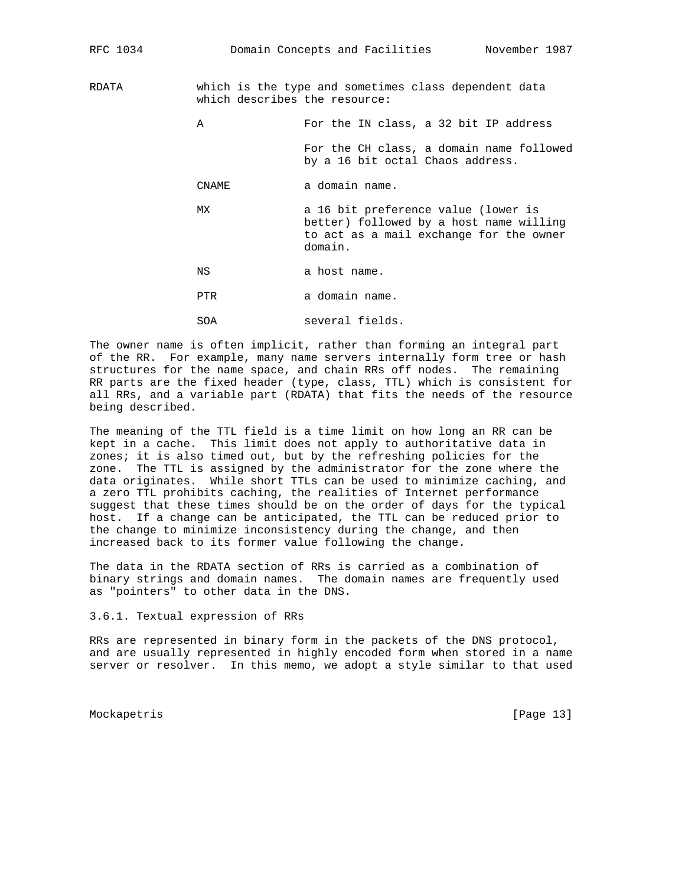RDATA which is the type and sometimes class dependent data which describes the resource:

A For the IN class, a 32 bit IP address

 For the CH class, a domain name followed by a 16 bit octal Chaos address.

CNAME a domain name.

MX a 16 bit preference value (lower is better) followed by a host name willing to act as a mail exchange for the owner domain.

NS a host name.

PTR a domain name.

SOA several fields.

The owner name is often implicit, rather than forming an integral part of the RR. For example, many name servers internally form tree or hash structures for the name space, and chain RRs off nodes. The remaining RR parts are the fixed header (type, class, TTL) which is consistent for all RRs, and a variable part (RDATA) that fits the needs of the resource being described.

The meaning of the TTL field is a time limit on how long an RR can be kept in a cache. This limit does not apply to authoritative data in zones; it is also timed out, but by the refreshing policies for the zone. The TTL is assigned by the administrator for the zone where the data originates. While short TTLs can be used to minimize caching, and a zero TTL prohibits caching, the realities of Internet performance suggest that these times should be on the order of days for the typical host. If a change can be anticipated, the TTL can be reduced prior to the change to minimize inconsistency during the change, and then increased back to its former value following the change.

The data in the RDATA section of RRs is carried as a combination of binary strings and domain names. The domain names are frequently used as "pointers" to other data in the DNS.

3.6.1. Textual expression of RRs

RRs are represented in binary form in the packets of the DNS protocol, and are usually represented in highly encoded form when stored in a name server or resolver. In this memo, we adopt a style similar to that used

Mockapetris [Page 13]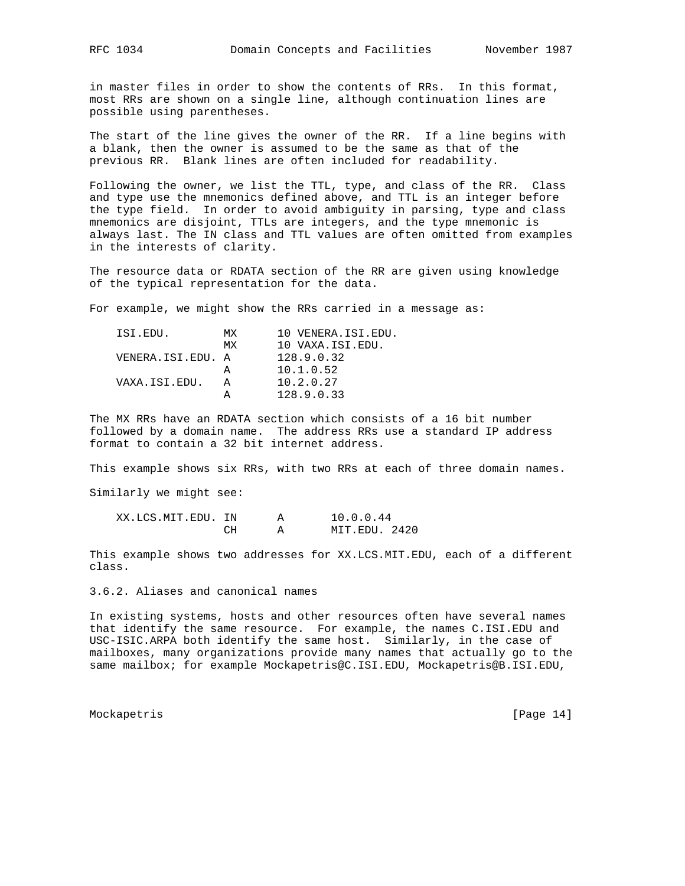in master files in order to show the contents of RRs. In this format, most RRs are shown on a single line, although continuation lines are possible using parentheses.

The start of the line gives the owner of the RR. If a line begins with a blank, then the owner is assumed to be the same as that of the previous RR. Blank lines are often included for readability.

Following the owner, we list the TTL, type, and class of the RR. Class and type use the mnemonics defined above, and TTL is an integer before the type field. In order to avoid ambiguity in parsing, type and class mnemonics are disjoint, TTLs are integers, and the type mnemonic is always last. The IN class and TTL values are often omitted from examples in the interests of clarity.

The resource data or RDATA section of the RR are given using knowledge of the typical representation for the data.

For example, we might show the RRs carried in a message as:

| ISI.EDU.          | МX | 10 VENERA.ISI.EDU. |
|-------------------|----|--------------------|
|                   | МX | 10 VAXA.ISI.EDU.   |
| VENERA.ISI.EDU. A |    | 128.9.0.32         |
|                   |    | 10.1.0.52          |
| VAXA.ISI.EDU.     | A  | 10.2.0.27          |
|                   |    | 128.9.0.33         |
|                   |    |                    |

The MX RRs have an RDATA section which consists of a 16 bit number followed by a domain name. The address RRs use a standard IP address format to contain a 32 bit internet address.

This example shows six RRs, with two RRs at each of three domain names.

Similarly we might see:

| XX.LCS.MIT.EDU. IN |  | 10.0.0.44     |
|--------------------|--|---------------|
|                    |  | MIT.EDU. 2420 |

This example shows two addresses for XX.LCS.MIT.EDU, each of a different class.

3.6.2. Aliases and canonical names

In existing systems, hosts and other resources often have several names that identify the same resource. For example, the names C.ISI.EDU and USC-ISIC.ARPA both identify the same host. Similarly, in the case of mailboxes, many organizations provide many names that actually go to the same mailbox; for example Mockapetris@C.ISI.EDU, Mockapetris@B.ISI.EDU,

Mockapetris [Page 14]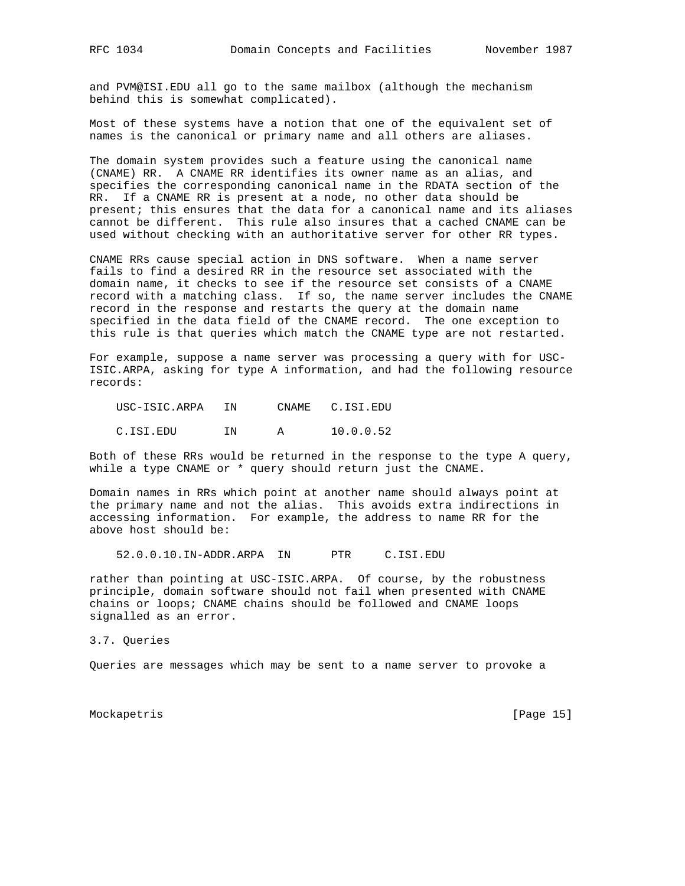and PVM@ISI.EDU all go to the same mailbox (although the mechanism behind this is somewhat complicated).

Most of these systems have a notion that one of the equivalent set of names is the canonical or primary name and all others are aliases.

The domain system provides such a feature using the canonical name (CNAME) RR. A CNAME RR identifies its owner name as an alias, and specifies the corresponding canonical name in the RDATA section of the RR. If a CNAME RR is present at a node, no other data should be present; this ensures that the data for a canonical name and its aliases cannot be different. This rule also insures that a cached CNAME can be used without checking with an authoritative server for other RR types.

CNAME RRs cause special action in DNS software. When a name server fails to find a desired RR in the resource set associated with the domain name, it checks to see if the resource set consists of a CNAME record with a matching class. If so, the name server includes the CNAME record in the response and restarts the query at the domain name specified in the data field of the CNAME record. The one exception to this rule is that queries which match the CNAME type are not restarted.

For example, suppose a name server was processing a query with for USC-ISIC.ARPA, asking for type A information, and had the following resource records:

 USC-ISIC.ARPA IN CNAME C.ISI.EDU C.ISI.EDU IN A 10.0.0.52

Both of these RRs would be returned in the response to the type A query, while a type CNAME or \* query should return just the CNAME.

Domain names in RRs which point at another name should always point at the primary name and not the alias. This avoids extra indirections in accessing information. For example, the address to name RR for the above host should be:

52.0.0.10.IN-ADDR.ARPA IN PTR C.ISI.EDU

rather than pointing at USC-ISIC.ARPA. Of course, by the robustness principle, domain software should not fail when presented with CNAME chains or loops; CNAME chains should be followed and CNAME loops signalled as an error.

3.7. Queries

Queries are messages which may be sent to a name server to provoke a

Mockapetris [Page 15]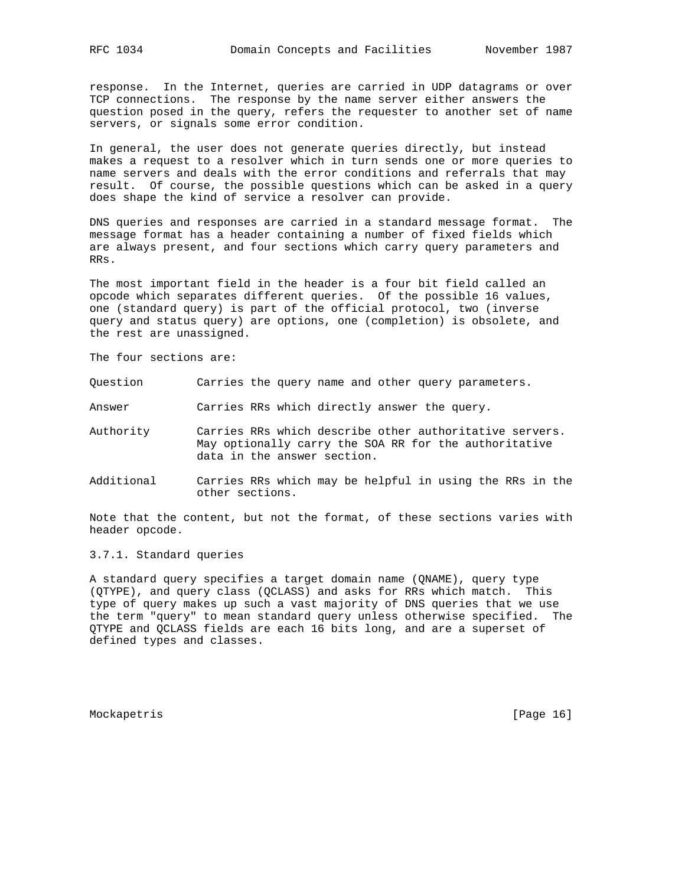response. In the Internet, queries are carried in UDP datagrams or over TCP connections. The response by the name server either answers the question posed in the query, refers the requester to another set of name servers, or signals some error condition.

In general, the user does not generate queries directly, but instead makes a request to a resolver which in turn sends one or more queries to name servers and deals with the error conditions and referrals that may result. Of course, the possible questions which can be asked in a query does shape the kind of service a resolver can provide.

DNS queries and responses are carried in a standard message format. The message format has a header containing a number of fixed fields which are always present, and four sections which carry query parameters and RRs.

The most important field in the header is a four bit field called an opcode which separates different queries. Of the possible 16 values, one (standard query) is part of the official protocol, two (inverse query and status query) are options, one (completion) is obsolete, and the rest are unassigned.

The four sections are:

Question Carries the query name and other query parameters.

Answer Carries RRs which directly answer the query.

- Authority Carries RRs which describe other authoritative servers. May optionally carry the SOA RR for the authoritative data in the answer section.
- Additional Carries RRs which may be helpful in using the RRs in the other sections.

Note that the content, but not the format, of these sections varies with header opcode.

3.7.1. Standard queries

A standard query specifies a target domain name (QNAME), query type (QTYPE), and query class (QCLASS) and asks for RRs which match. This type of query makes up such a vast majority of DNS queries that we use the term "query" to mean standard query unless otherwise specified. The QTYPE and QCLASS fields are each 16 bits long, and are a superset of defined types and classes.

Mockapetris [Page 16]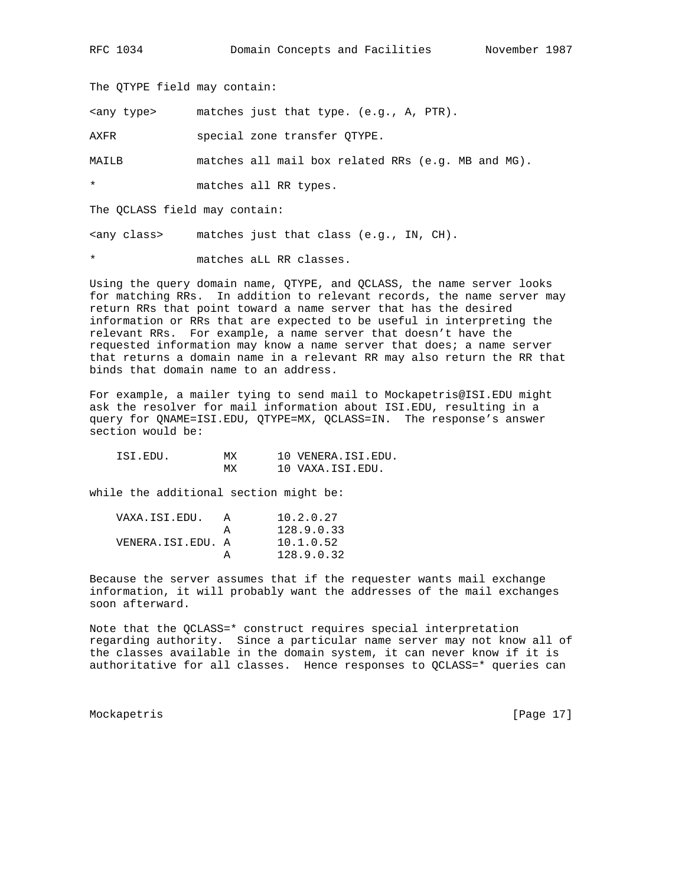RFC 1034 Domain Concepts and Facilities November 1987

The QTYPE field may contain:

<any type> matches just that type. (e.g., A, PTR).

AXFR special zone transfer QTYPE.

MAILB matches all mail box related RRs (e.g. MB and MG).

\* matches all RR types.

The QCLASS field may contain:

<any class> matches just that class (e.g., IN, CH).

matches aLL RR classes.

Using the query domain name, QTYPE, and QCLASS, the name server looks for matching RRs. In addition to relevant records, the name server may return RRs that point toward a name server that has the desired information or RRs that are expected to be useful in interpreting the relevant RRs. For example, a name server that doesn't have the requested information may know a name server that does; a name server that returns a domain name in a relevant RR may also return the RR that binds that domain name to an address.

For example, a mailer tying to send mail to Mockapetris@ISI.EDU might ask the resolver for mail information about ISI.EDU, resulting in a query for QNAME=ISI.EDU, QTYPE=MX, QCLASS=IN. The response's answer section would be:

| ISI.EDU. | МX | 10 VENERA.ISI.EDU. |
|----------|----|--------------------|
|          | МX | 10 VAXA.ISI.EDU.   |

while the additional section might be:

| VAXA.ISI.EDU.       | 10.2.0.27  |
|---------------------|------------|
|                     | 128.9.0.33 |
| VENERA. ISI. EDU. A | 10.1.0.52  |
|                     | 128.9.0.32 |

Because the server assumes that if the requester wants mail exchange information, it will probably want the addresses of the mail exchanges soon afterward.

Note that the QCLASS=\* construct requires special interpretation regarding authority. Since a particular name server may not know all of the classes available in the domain system, it can never know if it is authoritative for all classes. Hence responses to QCLASS=\* queries can

Mockapetris [Page 17]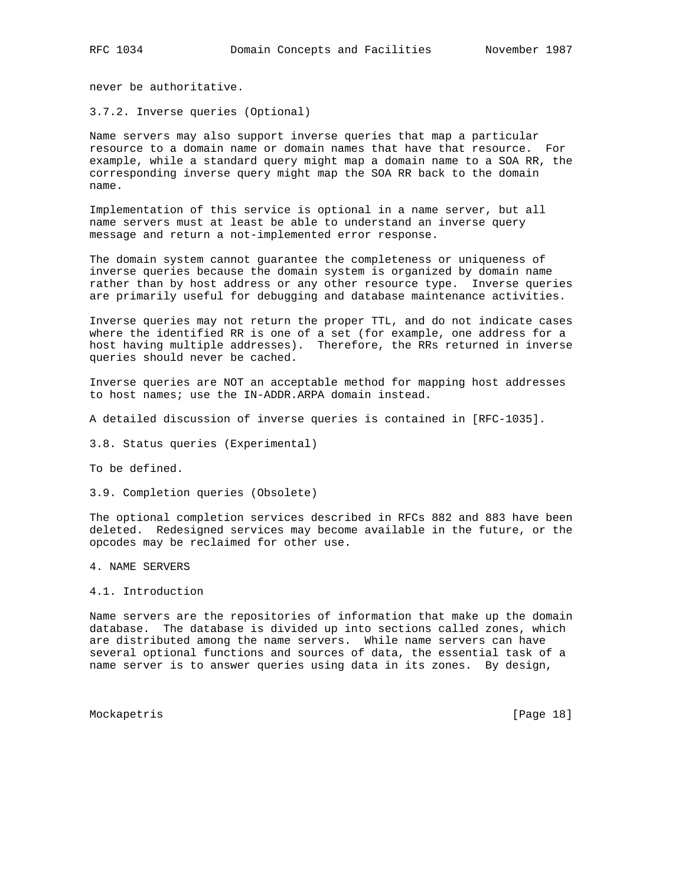never be authoritative.

3.7.2. Inverse queries (Optional)

Name servers may also support inverse queries that map a particular resource to a domain name or domain names that have that resource. For example, while a standard query might map a domain name to a SOA RR, the corresponding inverse query might map the SOA RR back to the domain name.

Implementation of this service is optional in a name server, but all name servers must at least be able to understand an inverse query message and return a not-implemented error response.

The domain system cannot guarantee the completeness or uniqueness of inverse queries because the domain system is organized by domain name rather than by host address or any other resource type. Inverse queries are primarily useful for debugging and database maintenance activities.

Inverse queries may not return the proper TTL, and do not indicate cases where the identified RR is one of a set (for example, one address for a host having multiple addresses). Therefore, the RRs returned in inverse queries should never be cached.

Inverse queries are NOT an acceptable method for mapping host addresses to host names; use the IN-ADDR.ARPA domain instead.

A detailed discussion of inverse queries is contained in [RFC-1035].

3.8. Status queries (Experimental)

To be defined.

3.9. Completion queries (Obsolete)

The optional completion services described in RFCs 882 and 883 have been deleted. Redesigned services may become available in the future, or the opcodes may be reclaimed for other use.

4. NAME SERVERS

### 4.1. Introduction

Name servers are the repositories of information that make up the domain database. The database is divided up into sections called zones, which are distributed among the name servers. While name servers can have several optional functions and sources of data, the essential task of a name server is to answer queries using data in its zones. By design,

Mockapetris [Page 18]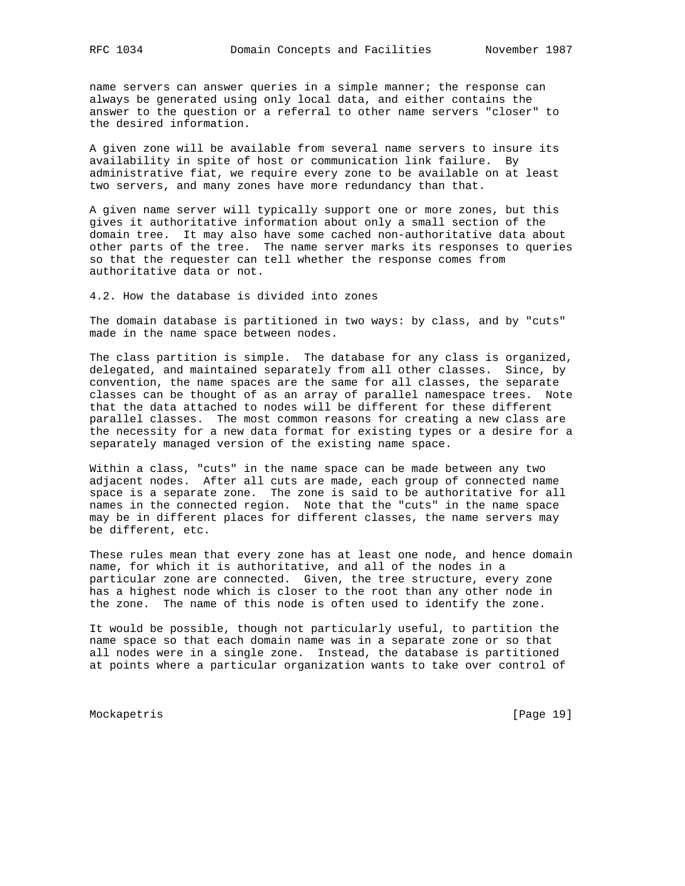name servers can answer queries in a simple manner; the response can always be generated using only local data, and either contains the answer to the question or a referral to other name servers "closer" to the desired information.

A given zone will be available from several name servers to insure its availability in spite of host or communication link failure. By administrative fiat, we require every zone to be available on at least two servers, and many zones have more redundancy than that.

A given name server will typically support one or more zones, but this gives it authoritative information about only a small section of the domain tree. It may also have some cached non-authoritative data about other parts of the tree. The name server marks its responses to queries so that the requester can tell whether the response comes from authoritative data or not.

4.2. How the database is divided into zones

The domain database is partitioned in two ways: by class, and by "cuts" made in the name space between nodes.

The class partition is simple. The database for any class is organized, delegated, and maintained separately from all other classes. Since, by convention, the name spaces are the same for all classes, the separate classes can be thought of as an array of parallel namespace trees. Note that the data attached to nodes will be different for these different parallel classes. The most common reasons for creating a new class are the necessity for a new data format for existing types or a desire for a separately managed version of the existing name space.

Within a class, "cuts" in the name space can be made between any two adjacent nodes. After all cuts are made, each group of connected name space is a separate zone. The zone is said to be authoritative for all names in the connected region. Note that the "cuts" in the name space may be in different places for different classes, the name servers may be different, etc.

These rules mean that every zone has at least one node, and hence domain name, for which it is authoritative, and all of the nodes in a particular zone are connected. Given, the tree structure, every zone has a highest node which is closer to the root than any other node in the zone. The name of this node is often used to identify the zone.

It would be possible, though not particularly useful, to partition the name space so that each domain name was in a separate zone or so that all nodes were in a single zone. Instead, the database is partitioned at points where a particular organization wants to take over control of

Mockapetris [Page 19]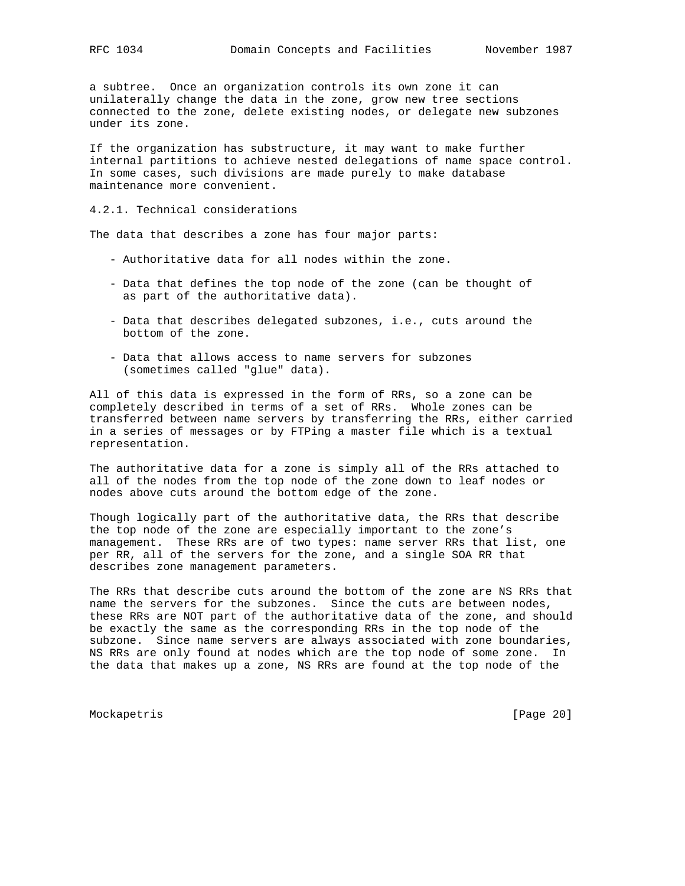a subtree. Once an organization controls its own zone it can unilaterally change the data in the zone, grow new tree sections connected to the zone, delete existing nodes, or delegate new subzones under its zone.

If the organization has substructure, it may want to make further internal partitions to achieve nested delegations of name space control. In some cases, such divisions are made purely to make database maintenance more convenient.

#### 4.2.1. Technical considerations

The data that describes a zone has four major parts:

- Authoritative data for all nodes within the zone.
- Data that defines the top node of the zone (can be thought of as part of the authoritative data).
- Data that describes delegated subzones, i.e., cuts around the bottom of the zone.
- Data that allows access to name servers for subzones (sometimes called "glue" data).

All of this data is expressed in the form of RRs, so a zone can be completely described in terms of a set of RRs. Whole zones can be transferred between name servers by transferring the RRs, either carried in a series of messages or by FTPing a master file which is a textual representation.

The authoritative data for a zone is simply all of the RRs attached to all of the nodes from the top node of the zone down to leaf nodes or nodes above cuts around the bottom edge of the zone.

Though logically part of the authoritative data, the RRs that describe the top node of the zone are especially important to the zone's management. These RRs are of two types: name server RRs that list, one per RR, all of the servers for the zone, and a single SOA RR that describes zone management parameters.

The RRs that describe cuts around the bottom of the zone are NS RRs that name the servers for the subzones. Since the cuts are between nodes, these RRs are NOT part of the authoritative data of the zone, and should be exactly the same as the corresponding RRs in the top node of the subzone. Since name servers are always associated with zone boundaries, NS RRs are only found at nodes which are the top node of some zone. In the data that makes up a zone, NS RRs are found at the top node of the

Mockapetris [Page 20]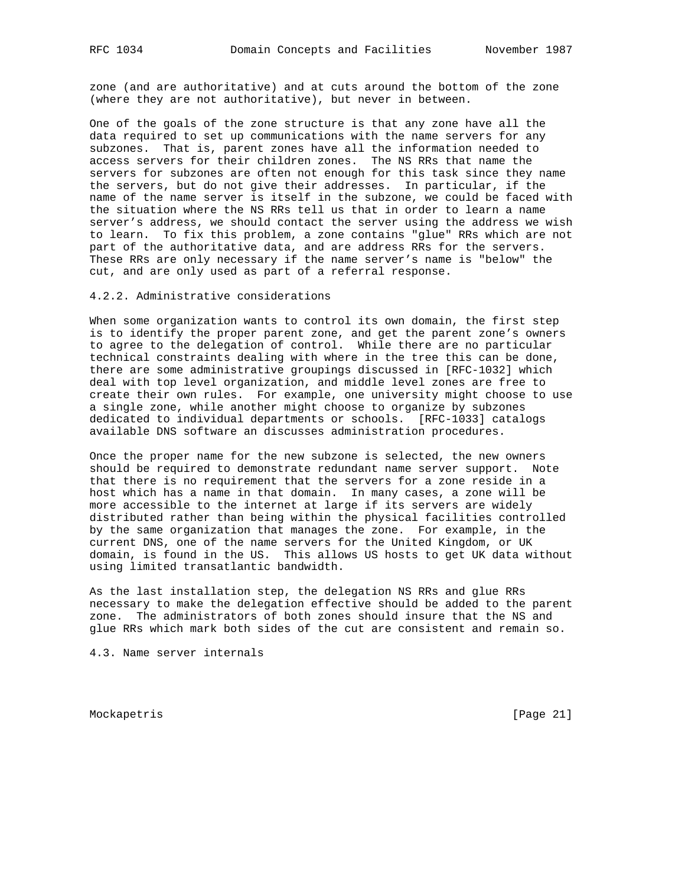zone (and are authoritative) and at cuts around the bottom of the zone (where they are not authoritative), but never in between.

One of the goals of the zone structure is that any zone have all the data required to set up communications with the name servers for any subzones. That is, parent zones have all the information needed to access servers for their children zones. The NS RRs that name the servers for subzones are often not enough for this task since they name the servers, but do not give their addresses. In particular, if the name of the name server is itself in the subzone, we could be faced with the situation where the NS RRs tell us that in order to learn a name server's address, we should contact the server using the address we wish to learn. To fix this problem, a zone contains "glue" RRs which are not part of the authoritative data, and are address RRs for the servers. These RRs are only necessary if the name server's name is "below" the cut, and are only used as part of a referral response.

4.2.2. Administrative considerations

When some organization wants to control its own domain, the first step is to identify the proper parent zone, and get the parent zone's owners to agree to the delegation of control. While there are no particular technical constraints dealing with where in the tree this can be done, there are some administrative groupings discussed in [RFC-1032] which deal with top level organization, and middle level zones are free to create their own rules. For example, one university might choose to use a single zone, while another might choose to organize by subzones dedicated to individual departments or schools. [RFC-1033] catalogs available DNS software an discusses administration procedures.

Once the proper name for the new subzone is selected, the new owners should be required to demonstrate redundant name server support. Note that there is no requirement that the servers for a zone reside in a host which has a name in that domain. In many cases, a zone will be more accessible to the internet at large if its servers are widely distributed rather than being within the physical facilities controlled by the same organization that manages the zone. For example, in the current DNS, one of the name servers for the United Kingdom, or UK domain, is found in the US. This allows US hosts to get UK data without using limited transatlantic bandwidth.

As the last installation step, the delegation NS RRs and glue RRs necessary to make the delegation effective should be added to the parent zone. The administrators of both zones should insure that the NS and glue RRs which mark both sides of the cut are consistent and remain so.

4.3. Name server internals

Mockapetris [Page 21]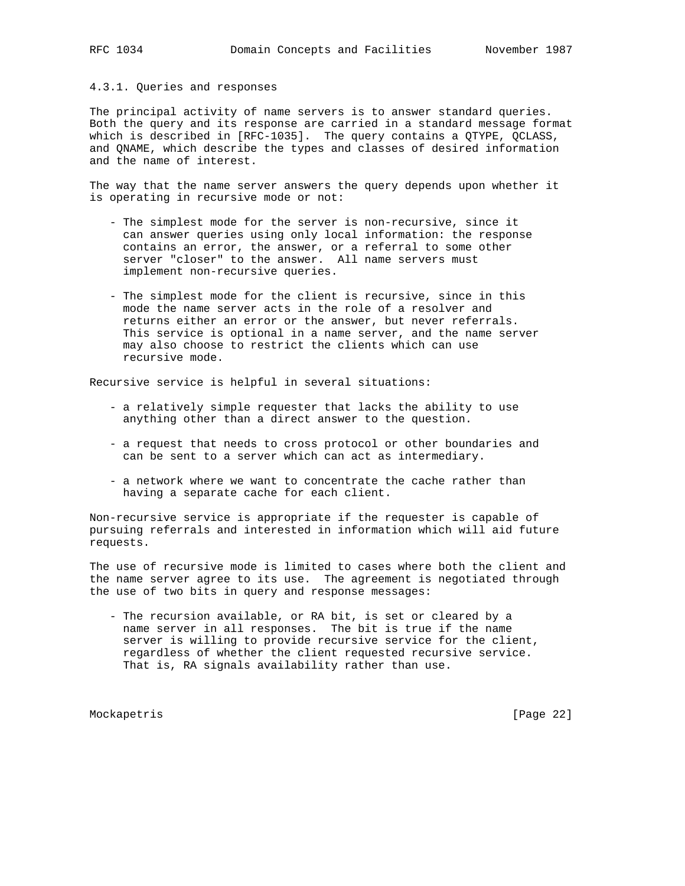#### 4.3.1. Queries and responses

The principal activity of name servers is to answer standard queries. Both the query and its response are carried in a standard message format which is described in [RFC-1035]. The query contains a QTYPE, QCLASS, and QNAME, which describe the types and classes of desired information and the name of interest.

The way that the name server answers the query depends upon whether it is operating in recursive mode or not:

- The simplest mode for the server is non-recursive, since it can answer queries using only local information: the response contains an error, the answer, or a referral to some other server "closer" to the answer. All name servers must implement non-recursive queries.
- The simplest mode for the client is recursive, since in this mode the name server acts in the role of a resolver and returns either an error or the answer, but never referrals. This service is optional in a name server, and the name server may also choose to restrict the clients which can use recursive mode.

Recursive service is helpful in several situations:

- a relatively simple requester that lacks the ability to use anything other than a direct answer to the question.
- a request that needs to cross protocol or other boundaries and can be sent to a server which can act as intermediary.
- a network where we want to concentrate the cache rather than having a separate cache for each client.

Non-recursive service is appropriate if the requester is capable of pursuing referrals and interested in information which will aid future requests.

The use of recursive mode is limited to cases where both the client and the name server agree to its use. The agreement is negotiated through the use of two bits in query and response messages:

 - The recursion available, or RA bit, is set or cleared by a name server in all responses. The bit is true if the name server is willing to provide recursive service for the client, regardless of whether the client requested recursive service. That is, RA signals availability rather than use.

Mockapetris [Page 22]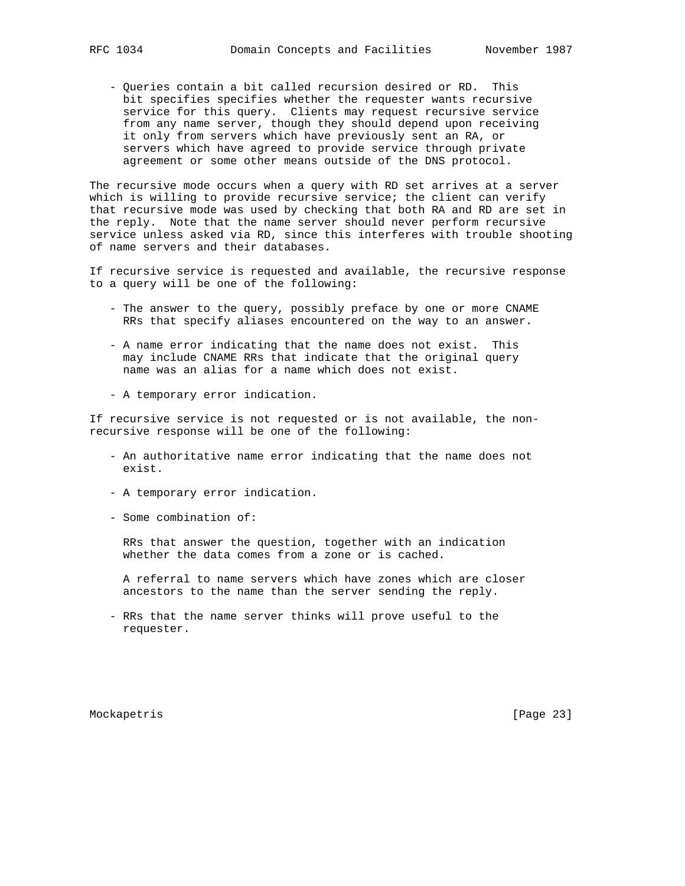- Queries contain a bit called recursion desired or RD. This bit specifies specifies whether the requester wants recursive service for this query. Clients may request recursive service from any name server, though they should depend upon receiving it only from servers which have previously sent an RA, or servers which have agreed to provide service through private agreement or some other means outside of the DNS protocol.

The recursive mode occurs when a query with RD set arrives at a server which is willing to provide recursive service; the client can verify that recursive mode was used by checking that both RA and RD are set in the reply. Note that the name server should never perform recursive service unless asked via RD, since this interferes with trouble shooting of name servers and their databases.

If recursive service is requested and available, the recursive response to a query will be one of the following:

- The answer to the query, possibly preface by one or more CNAME RRs that specify aliases encountered on the way to an answer.
- A name error indicating that the name does not exist. This may include CNAME RRs that indicate that the original query name was an alias for a name which does not exist.
- A temporary error indication.

If recursive service is not requested or is not available, the nonrecursive response will be one of the following:

- An authoritative name error indicating that the name does not exist.
- A temporary error indication.
- Some combination of:

 RRs that answer the question, together with an indication whether the data comes from a zone or is cached.

 A referral to name servers which have zones which are closer ancestors to the name than the server sending the reply.

 - RRs that the name server thinks will prove useful to the requester.

Mockapetris [Page 23]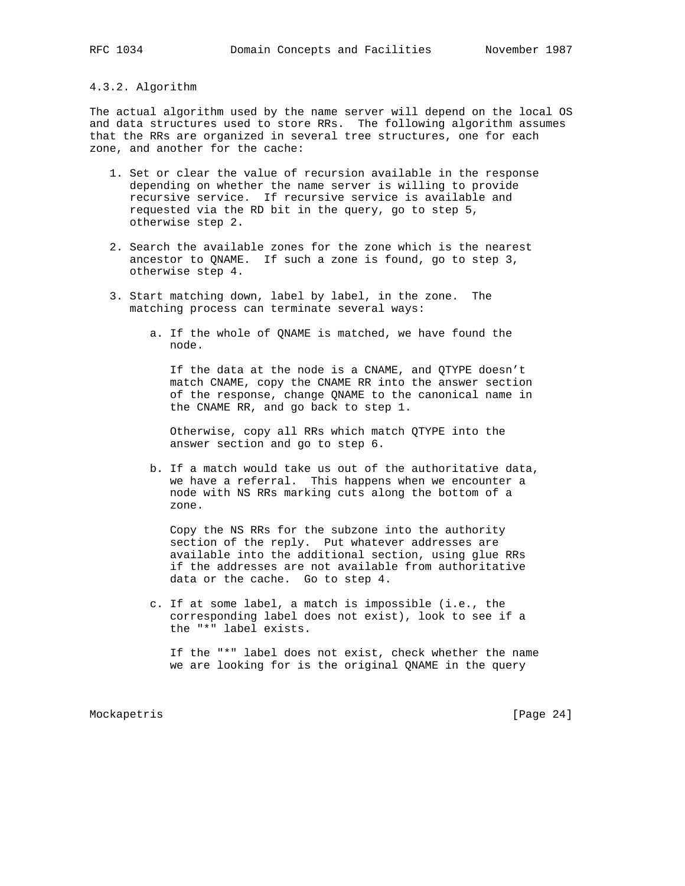### 4.3.2. Algorithm

The actual algorithm used by the name server will depend on the local OS and data structures used to store RRs. The following algorithm assumes that the RRs are organized in several tree structures, one for each zone, and another for the cache:

- 1. Set or clear the value of recursion available in the response depending on whether the name server is willing to provide recursive service. If recursive service is available and requested via the RD bit in the query, go to step 5, otherwise step 2.
- 2. Search the available zones for the zone which is the nearest ancestor to QNAME. If such a zone is found, go to step 3, otherwise step 4.
- 3. Start matching down, label by label, in the zone. The matching process can terminate several ways:
	- a. If the whole of QNAME is matched, we have found the node.

 If the data at the node is a CNAME, and QTYPE doesn't match CNAME, copy the CNAME RR into the answer section of the response, change QNAME to the canonical name in the CNAME RR, and go back to step 1.

 Otherwise, copy all RRs which match QTYPE into the answer section and go to step 6.

 b. If a match would take us out of the authoritative data, we have a referral. This happens when we encounter a node with NS RRs marking cuts along the bottom of a zone.

 Copy the NS RRs for the subzone into the authority section of the reply. Put whatever addresses are available into the additional section, using glue RRs if the addresses are not available from authoritative data or the cache. Go to step 4.

 c. If at some label, a match is impossible (i.e., the corresponding label does not exist), look to see if a the "\*" label exists.

 If the "\*" label does not exist, check whether the name we are looking for is the original QNAME in the query

Mockapetris [Page 24]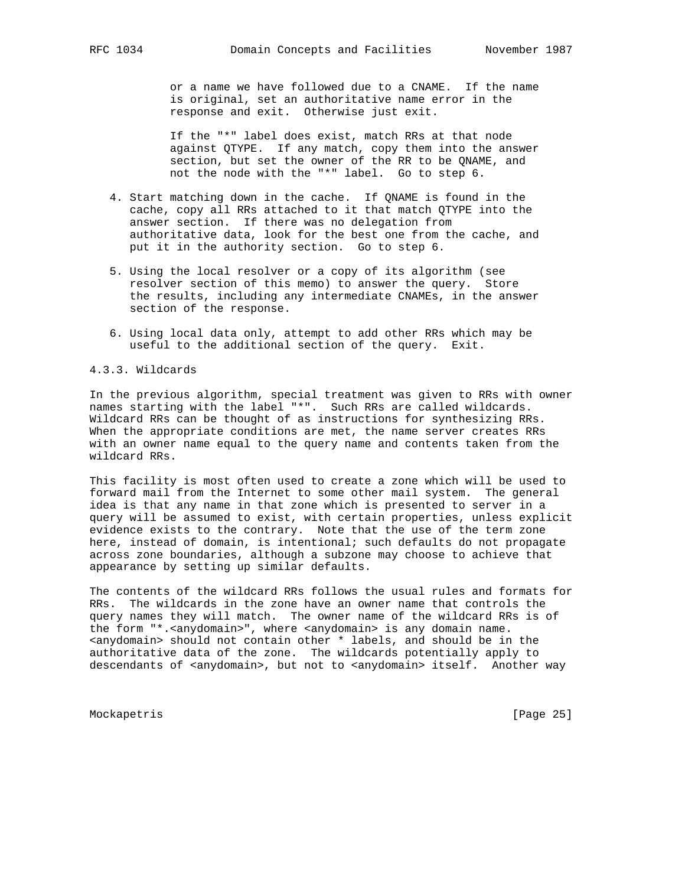or a name we have followed due to a CNAME. If the name is original, set an authoritative name error in the response and exit. Otherwise just exit.

 If the "\*" label does exist, match RRs at that node against QTYPE. If any match, copy them into the answer section, but set the owner of the RR to be QNAME, and not the node with the "\*" label. Go to step 6.

- 4. Start matching down in the cache. If QNAME is found in the cache, copy all RRs attached to it that match QTYPE into the answer section. If there was no delegation from authoritative data, look for the best one from the cache, and put it in the authority section. Go to step 6.
- 5. Using the local resolver or a copy of its algorithm (see resolver section of this memo) to answer the query. Store the results, including any intermediate CNAMEs, in the answer section of the response.
- 6. Using local data only, attempt to add other RRs which may be useful to the additional section of the query. Exit.

#### 4.3.3. Wildcards

In the previous algorithm, special treatment was given to RRs with owner names starting with the label "\*". Such RRs are called wildcards. Wildcard RRs can be thought of as instructions for synthesizing RRs. When the appropriate conditions are met, the name server creates RRs with an owner name equal to the query name and contents taken from the wildcard RRs.

This facility is most often used to create a zone which will be used to forward mail from the Internet to some other mail system. The general idea is that any name in that zone which is presented to server in a query will be assumed to exist, with certain properties, unless explicit evidence exists to the contrary. Note that the use of the term zone here, instead of domain, is intentional; such defaults do not propagate across zone boundaries, although a subzone may choose to achieve that appearance by setting up similar defaults.

The contents of the wildcard RRs follows the usual rules and formats for RRs. The wildcards in the zone have an owner name that controls the query names they will match. The owner name of the wildcard RRs is of the form "\*.<anydomain>", where <anydomain> is any domain name. <anydomain> should not contain other \* labels, and should be in the authoritative data of the zone. The wildcards potentially apply to descendants of <anydomain>, but not to <anydomain> itself. Another way

Mockapetris [Page 25]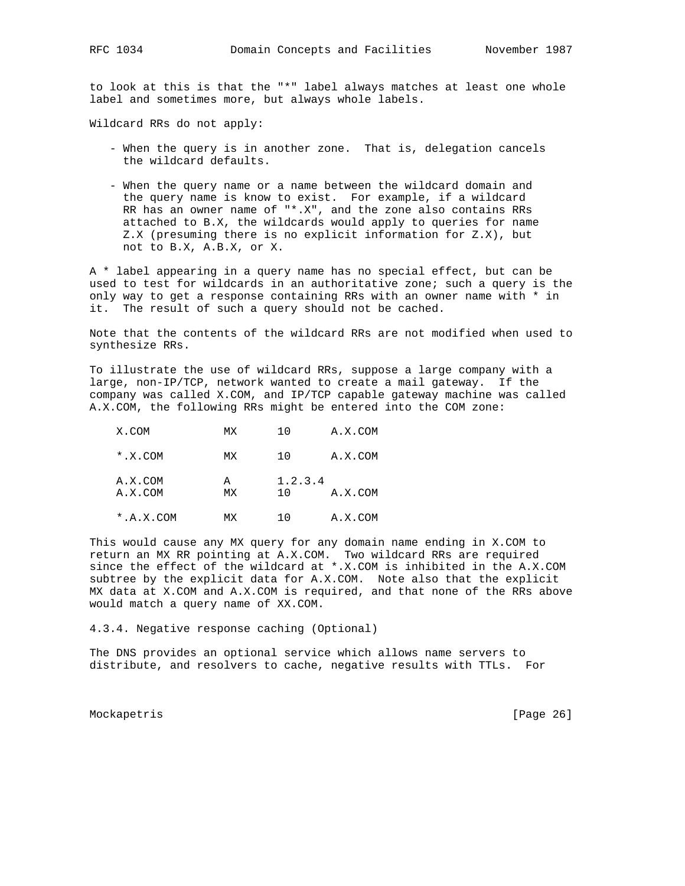to look at this is that the "\*" label always matches at least one whole label and sometimes more, but always whole labels.

Wildcard RRs do not apply:

- When the query is in another zone. That is, delegation cancels the wildcard defaults.
- When the query name or a name between the wildcard domain and the query name is know to exist. For example, if a wildcard RR has an owner name of "\*.X", and the zone also contains RRs attached to B.X, the wildcards would apply to queries for name Z.X (presuming there is no explicit information for Z.X), but not to B.X, A.B.X, or X.

A \* label appearing in a query name has no special effect, but can be used to test for wildcards in an authoritative zone; such a query is the only way to get a response containing RRs with an owner name with \* in it. The result of such a query should not be cached.

Note that the contents of the wildcard RRs are not modified when used to synthesize RRs.

To illustrate the use of wildcard RRs, suppose a large company with a large, non-IP/TCP, network wanted to create a mail gateway. If the company was called X.COM, and IP/TCP capable gateway machine was called A.X.COM, the following RRs might be entered into the COM zone:

| X.COM              | МX      | 1 O            | A.X.COM |
|--------------------|---------|----------------|---------|
| $*.X.$ COM         | МX      | 1 O            | A.X.COM |
| A.X.COM<br>A.X.COM | А<br>МX | 1.2.3.4<br>1 O | A.X.COM |
| $^*$ .A.X.COM      | МX      | 1 O            | A.X.COM |

This would cause any MX query for any domain name ending in X.COM to return an MX RR pointing at A.X.COM. Two wildcard RRs are required since the effect of the wildcard at \*.X.COM is inhibited in the A.X.COM subtree by the explicit data for A.X.COM. Note also that the explicit MX data at X.COM and A.X.COM is required, and that none of the RRs above would match a query name of XX.COM.

4.3.4. Negative response caching (Optional)

The DNS provides an optional service which allows name servers to distribute, and resolvers to cache, negative results with TTLs. For

Mockapetris [Page 26]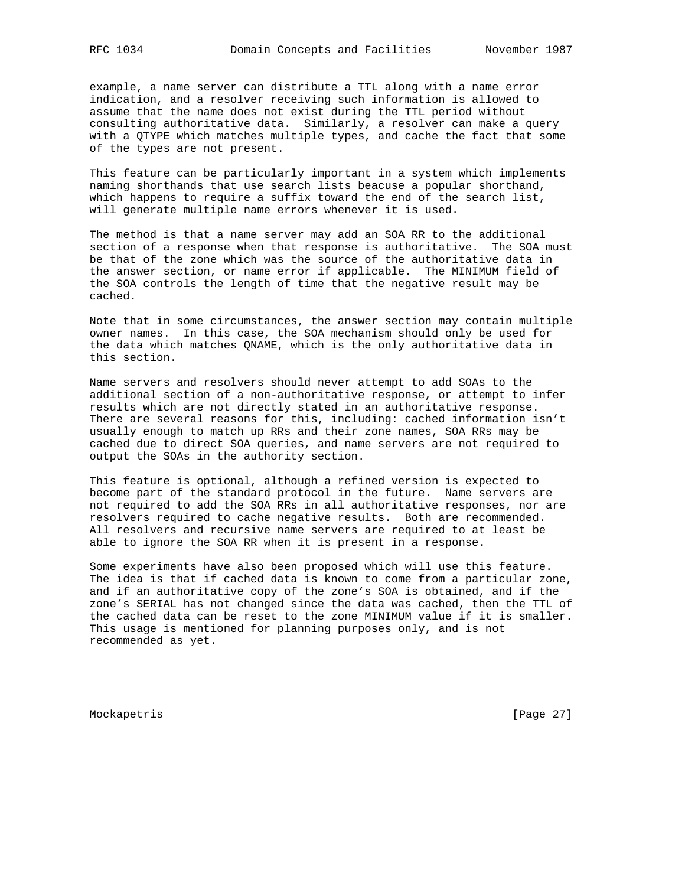example, a name server can distribute a TTL along with a name error indication, and a resolver receiving such information is allowed to assume that the name does not exist during the TTL period without consulting authoritative data. Similarly, a resolver can make a query with a QTYPE which matches multiple types, and cache the fact that some of the types are not present.

This feature can be particularly important in a system which implements naming shorthands that use search lists beacuse a popular shorthand, which happens to require a suffix toward the end of the search list, will generate multiple name errors whenever it is used.

The method is that a name server may add an SOA RR to the additional section of a response when that response is authoritative. The SOA must be that of the zone which was the source of the authoritative data in the answer section, or name error if applicable. The MINIMUM field of the SOA controls the length of time that the negative result may be cached.

Note that in some circumstances, the answer section may contain multiple owner names. In this case, the SOA mechanism should only be used for the data which matches QNAME, which is the only authoritative data in this section.

Name servers and resolvers should never attempt to add SOAs to the additional section of a non-authoritative response, or attempt to infer results which are not directly stated in an authoritative response. There are several reasons for this, including: cached information isn't usually enough to match up RRs and their zone names, SOA RRs may be cached due to direct SOA queries, and name servers are not required to output the SOAs in the authority section.

This feature is optional, although a refined version is expected to become part of the standard protocol in the future. Name servers are not required to add the SOA RRs in all authoritative responses, nor are resolvers required to cache negative results. Both are recommended. All resolvers and recursive name servers are required to at least be able to ignore the SOA RR when it is present in a response.

Some experiments have also been proposed which will use this feature. The idea is that if cached data is known to come from a particular zone, and if an authoritative copy of the zone's SOA is obtained, and if the zone's SERIAL has not changed since the data was cached, then the TTL of the cached data can be reset to the zone MINIMUM value if it is smaller. This usage is mentioned for planning purposes only, and is not recommended as yet.

Mockapetris [Page 27]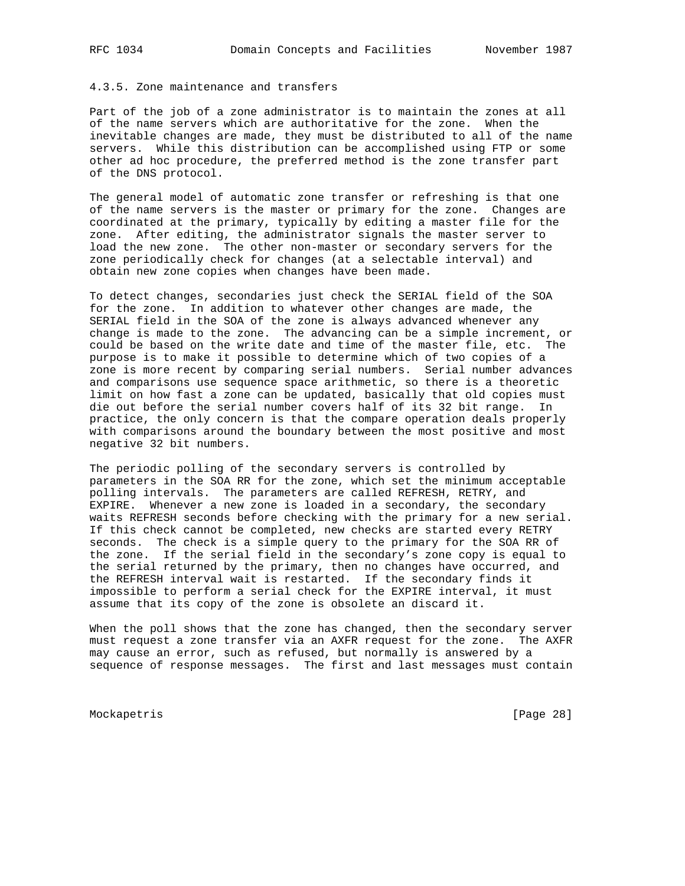## 4.3.5. Zone maintenance and transfers

Part of the job of a zone administrator is to maintain the zones at all of the name servers which are authoritative for the zone. When the inevitable changes are made, they must be distributed to all of the name servers. While this distribution can be accomplished using FTP or some other ad hoc procedure, the preferred method is the zone transfer part of the DNS protocol.

The general model of automatic zone transfer or refreshing is that one of the name servers is the master or primary for the zone. Changes are coordinated at the primary, typically by editing a master file for the zone. After editing, the administrator signals the master server to load the new zone. The other non-master or secondary servers for the zone periodically check for changes (at a selectable interval) and obtain new zone copies when changes have been made.

To detect changes, secondaries just check the SERIAL field of the SOA for the zone. In addition to whatever other changes are made, the SERIAL field in the SOA of the zone is always advanced whenever any change is made to the zone. The advancing can be a simple increment, or could be based on the write date and time of the master file, etc. The purpose is to make it possible to determine which of two copies of a zone is more recent by comparing serial numbers. Serial number advances and comparisons use sequence space arithmetic, so there is a theoretic limit on how fast a zone can be updated, basically that old copies must die out before the serial number covers half of its 32 bit range. In practice, the only concern is that the compare operation deals properly with comparisons around the boundary between the most positive and most negative 32 bit numbers.

The periodic polling of the secondary servers is controlled by parameters in the SOA RR for the zone, which set the minimum acceptable polling intervals. The parameters are called REFRESH, RETRY, and EXPIRE. Whenever a new zone is loaded in a secondary, the secondary waits REFRESH seconds before checking with the primary for a new serial. If this check cannot be completed, new checks are started every RETRY seconds. The check is a simple query to the primary for the SOA RR of the zone. If the serial field in the secondary's zone copy is equal to the serial returned by the primary, then no changes have occurred, and the REFRESH interval wait is restarted. If the secondary finds it impossible to perform a serial check for the EXPIRE interval, it must assume that its copy of the zone is obsolete an discard it.

When the poll shows that the zone has changed, then the secondary server must request a zone transfer via an AXFR request for the zone. The AXFR may cause an error, such as refused, but normally is answered by a sequence of response messages. The first and last messages must contain

Mockapetris [Page 28]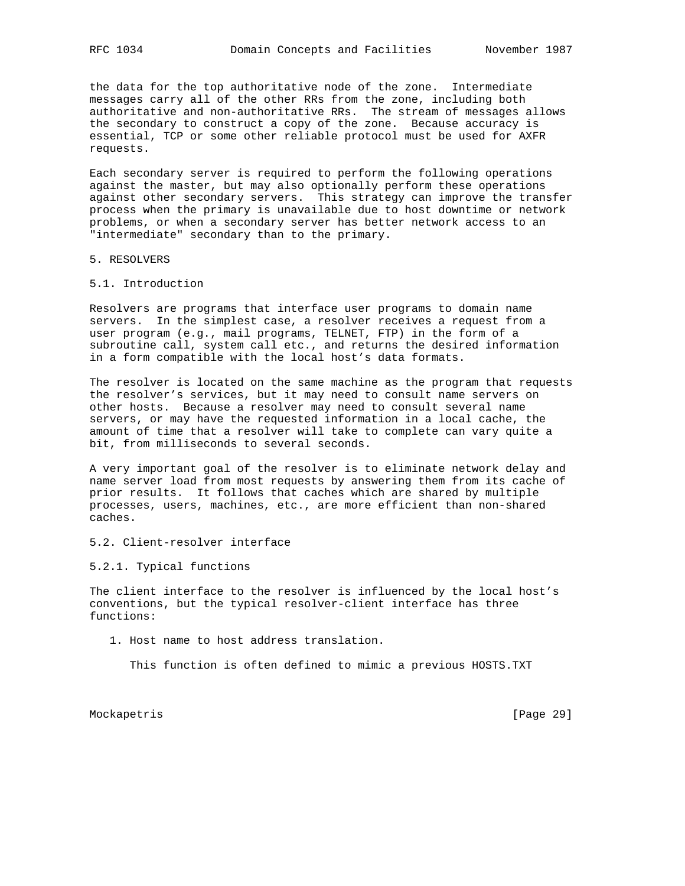the data for the top authoritative node of the zone. Intermediate messages carry all of the other RRs from the zone, including both authoritative and non-authoritative RRs. The stream of messages allows the secondary to construct a copy of the zone. Because accuracy is essential, TCP or some other reliable protocol must be used for AXFR requests.

Each secondary server is required to perform the following operations against the master, but may also optionally perform these operations against other secondary servers. This strategy can improve the transfer process when the primary is unavailable due to host downtime or network problems, or when a secondary server has better network access to an "intermediate" secondary than to the primary.

#### 5. RESOLVERS

#### 5.1. Introduction

Resolvers are programs that interface user programs to domain name servers. In the simplest case, a resolver receives a request from a user program (e.g., mail programs, TELNET, FTP) in the form of a subroutine call, system call etc., and returns the desired information in a form compatible with the local host's data formats.

The resolver is located on the same machine as the program that requests the resolver's services, but it may need to consult name servers on other hosts. Because a resolver may need to consult several name servers, or may have the requested information in a local cache, the amount of time that a resolver will take to complete can vary quite a bit, from milliseconds to several seconds.

A very important goal of the resolver is to eliminate network delay and name server load from most requests by answering them from its cache of prior results. It follows that caches which are shared by multiple processes, users, machines, etc., are more efficient than non-shared caches.

5.2. Client-resolver interface

5.2.1. Typical functions

The client interface to the resolver is influenced by the local host's conventions, but the typical resolver-client interface has three functions:

1. Host name to host address translation.

This function is often defined to mimic a previous HOSTS.TXT

Mockapetris [Page 29]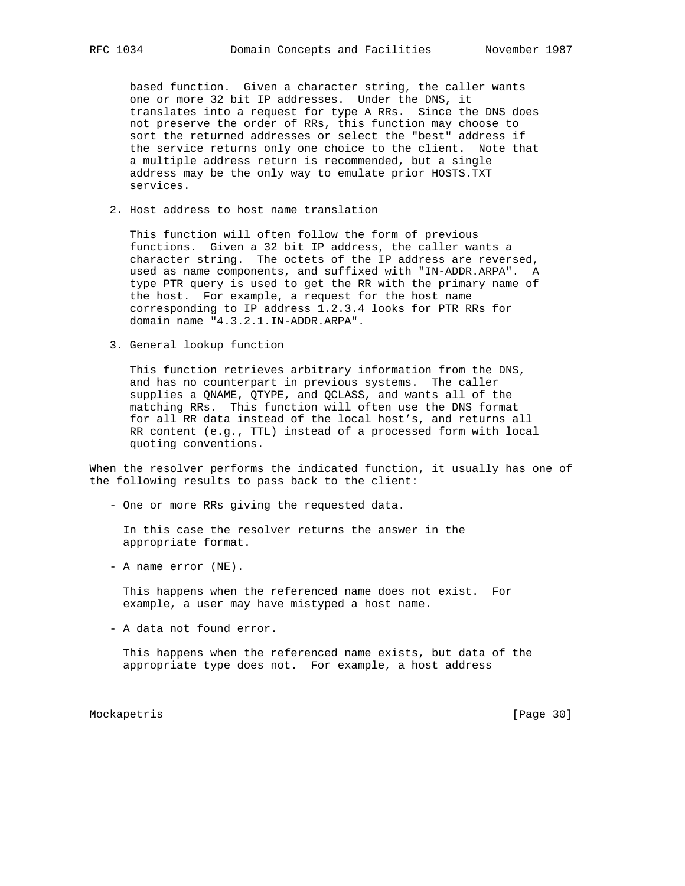based function. Given a character string, the caller wants one or more 32 bit IP addresses. Under the DNS, it translates into a request for type A RRs. Since the DNS does not preserve the order of RRs, this function may choose to sort the returned addresses or select the "best" address if the service returns only one choice to the client. Note that a multiple address return is recommended, but a single address may be the only way to emulate prior HOSTS.TXT services.

2. Host address to host name translation

 This function will often follow the form of previous functions. Given a 32 bit IP address, the caller wants a character string. The octets of the IP address are reversed, used as name components, and suffixed with "IN-ADDR.ARPA". A type PTR query is used to get the RR with the primary name of the host. For example, a request for the host name corresponding to IP address 1.2.3.4 looks for PTR RRs for domain name "4.3.2.1.IN-ADDR.ARPA".

3. General lookup function

 This function retrieves arbitrary information from the DNS, and has no counterpart in previous systems. The caller supplies a QNAME, QTYPE, and QCLASS, and wants all of the matching RRs. This function will often use the DNS format for all RR data instead of the local host's, and returns all RR content (e.g., TTL) instead of a processed form with local quoting conventions.

When the resolver performs the indicated function, it usually has one of the following results to pass back to the client:

- One or more RRs giving the requested data.

 In this case the resolver returns the answer in the appropriate format.

- A name error (NE).

 This happens when the referenced name does not exist. For example, a user may have mistyped a host name.

- A data not found error.

 This happens when the referenced name exists, but data of the appropriate type does not. For example, a host address

Mockapetris [Page 30]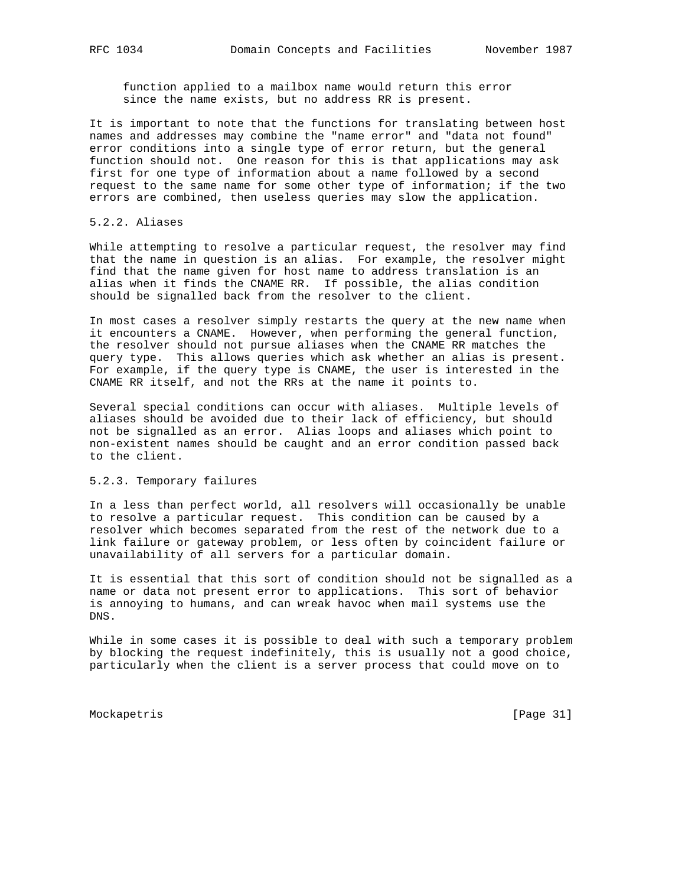function applied to a mailbox name would return this error since the name exists, but no address RR is present.

It is important to note that the functions for translating between host names and addresses may combine the "name error" and "data not found" error conditions into a single type of error return, but the general function should not. One reason for this is that applications may ask first for one type of information about a name followed by a second request to the same name for some other type of information; if the two errors are combined, then useless queries may slow the application.

# 5.2.2. Aliases

While attempting to resolve a particular request, the resolver may find that the name in question is an alias. For example, the resolver might find that the name given for host name to address translation is an alias when it finds the CNAME RR. If possible, the alias condition should be signalled back from the resolver to the client.

In most cases a resolver simply restarts the query at the new name when it encounters a CNAME. However, when performing the general function, the resolver should not pursue aliases when the CNAME RR matches the query type. This allows queries which ask whether an alias is present. For example, if the query type is CNAME, the user is interested in the CNAME RR itself, and not the RRs at the name it points to.

Several special conditions can occur with aliases. Multiple levels of aliases should be avoided due to their lack of efficiency, but should not be signalled as an error. Alias loops and aliases which point to non-existent names should be caught and an error condition passed back to the client.

## 5.2.3. Temporary failures

In a less than perfect world, all resolvers will occasionally be unable to resolve a particular request. This condition can be caused by a resolver which becomes separated from the rest of the network due to a link failure or gateway problem, or less often by coincident failure or unavailability of all servers for a particular domain.

It is essential that this sort of condition should not be signalled as a name or data not present error to applications. This sort of behavior is annoying to humans, and can wreak havoc when mail systems use the DNS.

While in some cases it is possible to deal with such a temporary problem by blocking the request indefinitely, this is usually not a good choice, particularly when the client is a server process that could move on to

Mockapetris [Page 31]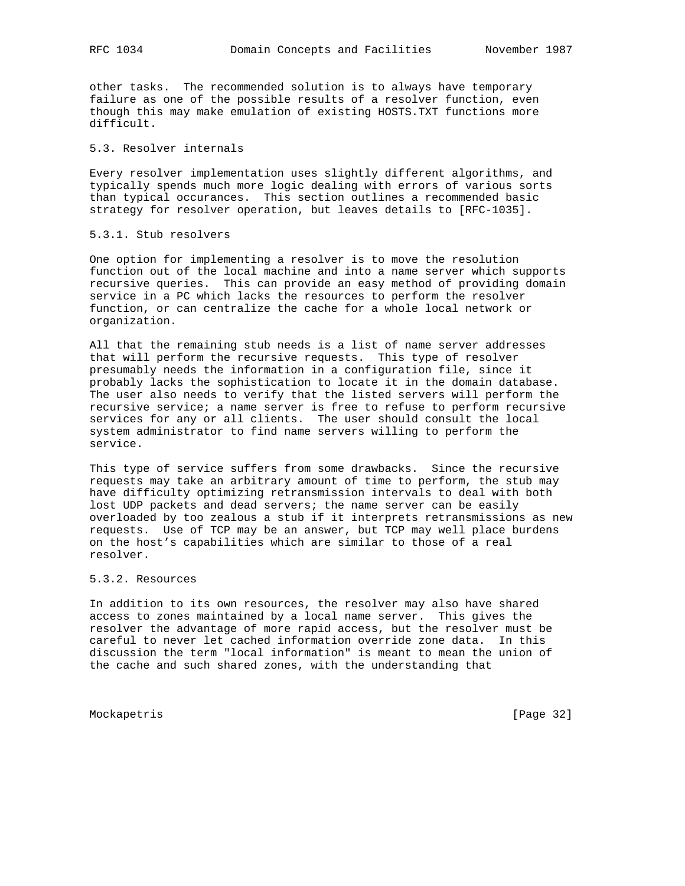other tasks. The recommended solution is to always have temporary failure as one of the possible results of a resolver function, even though this may make emulation of existing HOSTS.TXT functions more difficult.

## 5.3. Resolver internals

Every resolver implementation uses slightly different algorithms, and typically spends much more logic dealing with errors of various sorts than typical occurances. This section outlines a recommended basic strategy for resolver operation, but leaves details to [RFC-1035].

#### 5.3.1. Stub resolvers

One option for implementing a resolver is to move the resolution function out of the local machine and into a name server which supports recursive queries. This can provide an easy method of providing domain service in a PC which lacks the resources to perform the resolver function, or can centralize the cache for a whole local network or organization.

All that the remaining stub needs is a list of name server addresses that will perform the recursive requests. This type of resolver presumably needs the information in a configuration file, since it probably lacks the sophistication to locate it in the domain database. The user also needs to verify that the listed servers will perform the recursive service; a name server is free to refuse to perform recursive services for any or all clients. The user should consult the local system administrator to find name servers willing to perform the service.

This type of service suffers from some drawbacks. Since the recursive requests may take an arbitrary amount of time to perform, the stub may have difficulty optimizing retransmission intervals to deal with both lost UDP packets and dead servers; the name server can be easily overloaded by too zealous a stub if it interprets retransmissions as new requests. Use of TCP may be an answer, but TCP may well place burdens on the host's capabilities which are similar to those of a real resolver.

## 5.3.2. Resources

In addition to its own resources, the resolver may also have shared access to zones maintained by a local name server. This gives the resolver the advantage of more rapid access, but the resolver must be careful to never let cached information override zone data. In this discussion the term "local information" is meant to mean the union of the cache and such shared zones, with the understanding that

Mockapetris [Page 32]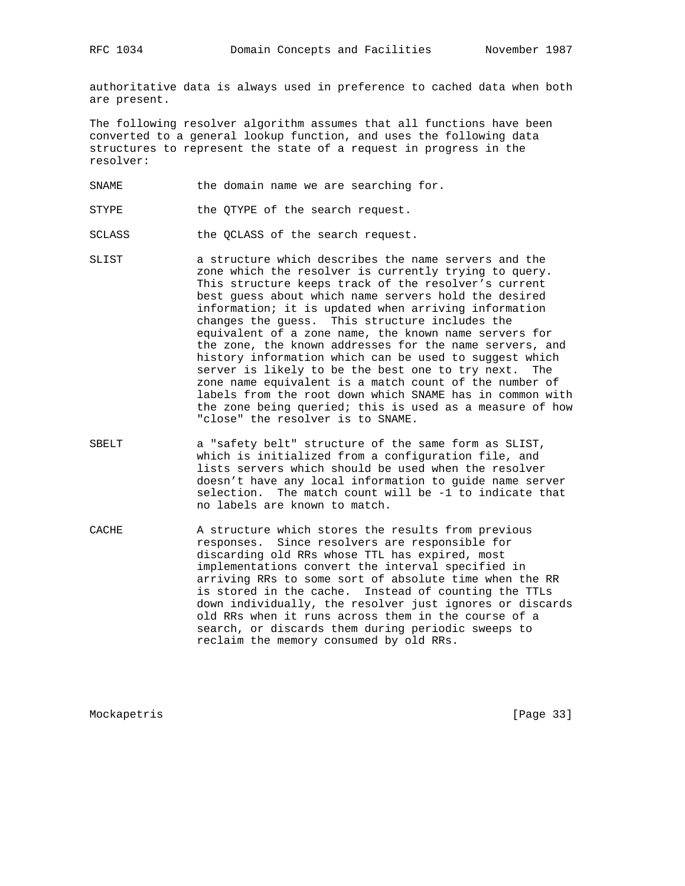authoritative data is always used in preference to cached data when both are present.

The following resolver algorithm assumes that all functions have been converted to a general lookup function, and uses the following data structures to represent the state of a request in progress in the resolver:

SNAME the domain name we are searching for.

STYPE the QTYPE of the search request.

SCLASS the QCLASS of the search request.

- SLIST a structure which describes the name servers and the zone which the resolver is currently trying to query. This structure keeps track of the resolver's current best guess about which name servers hold the desired information; it is updated when arriving information changes the guess. This structure includes the equivalent of a zone name, the known name servers for the zone, the known addresses for the name servers, and history information which can be used to suggest which server is likely to be the best one to try next. The zone name equivalent is a match count of the number of labels from the root down which SNAME has in common with the zone being queried; this is used as a measure of how "close" the resolver is to SNAME.
- SBELT a "safety belt" structure of the same form as SLIST, which is initialized from a configuration file, and lists servers which should be used when the resolver doesn't have any local information to guide name server selection. The match count will be -1 to indicate that no labels are known to match.
- CACHE A structure which stores the results from previous responses. Since resolvers are responsible for discarding old RRs whose TTL has expired, most implementations convert the interval specified in arriving RRs to some sort of absolute time when the RR is stored in the cache. Instead of counting the TTLs down individually, the resolver just ignores or discards old RRs when it runs across them in the course of a search, or discards them during periodic sweeps to reclaim the memory consumed by old RRs.

Mockapetris [Page 33]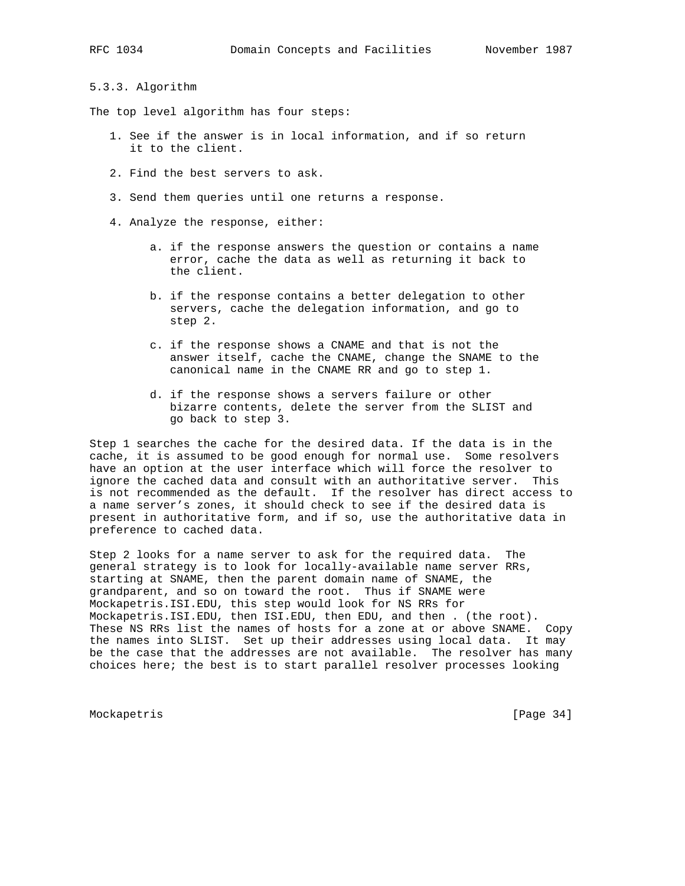5.3.3. Algorithm

The top level algorithm has four steps:

- 1. See if the answer is in local information, and if so return it to the client.
- 2. Find the best servers to ask.
- 3. Send them queries until one returns a response.
- 4. Analyze the response, either:
	- a. if the response answers the question or contains a name error, cache the data as well as returning it back to the client.
	- b. if the response contains a better delegation to other servers, cache the delegation information, and go to step 2.
	- c. if the response shows a CNAME and that is not the answer itself, cache the CNAME, change the SNAME to the canonical name in the CNAME RR and go to step 1.
	- d. if the response shows a servers failure or other bizarre contents, delete the server from the SLIST and go back to step 3.

Step 1 searches the cache for the desired data. If the data is in the cache, it is assumed to be good enough for normal use. Some resolvers have an option at the user interface which will force the resolver to ignore the cached data and consult with an authoritative server. This is not recommended as the default. If the resolver has direct access to a name server's zones, it should check to see if the desired data is present in authoritative form, and if so, use the authoritative data in preference to cached data.

Step 2 looks for a name server to ask for the required data. The general strategy is to look for locally-available name server RRs, starting at SNAME, then the parent domain name of SNAME, the grandparent, and so on toward the root. Thus if SNAME were Mockapetris.ISI.EDU, this step would look for NS RRs for Mockapetris.ISI.EDU, then ISI.EDU, then EDU, and then . (the root). These NS RRs list the names of hosts for a zone at or above SNAME. Copy the names into SLIST. Set up their addresses using local data. It may be the case that the addresses are not available. The resolver has many choices here; the best is to start parallel resolver processes looking

Mockapetris [Page 34]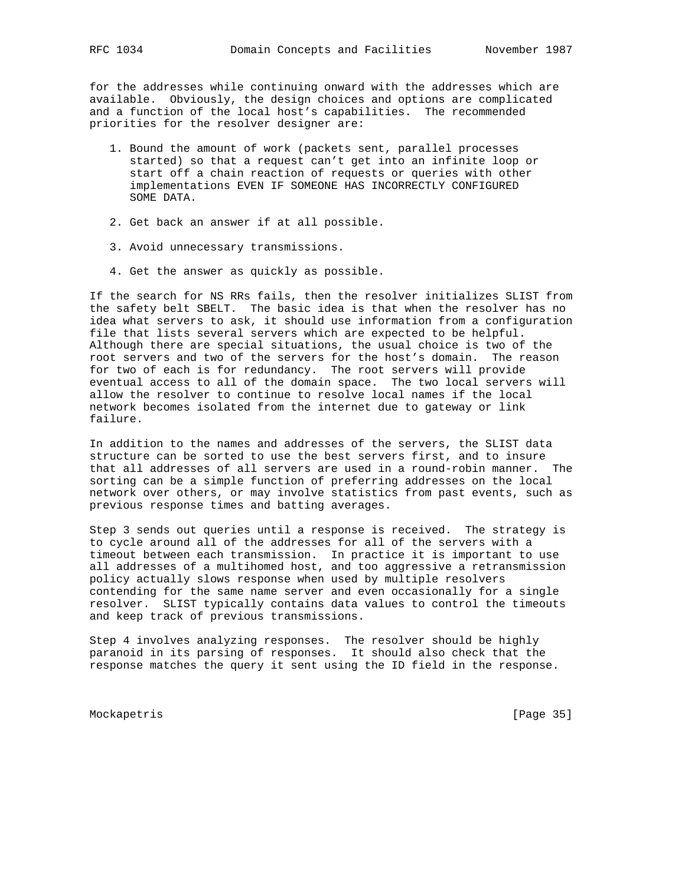for the addresses while continuing onward with the addresses which are available. Obviously, the design choices and options are complicated and a function of the local host's capabilities. The recommended priorities for the resolver designer are:

- 1. Bound the amount of work (packets sent, parallel processes started) so that a request can't get into an infinite loop or start off a chain reaction of requests or queries with other implementations EVEN IF SOMEONE HAS INCORRECTLY CONFIGURED SOME DATA.
- 2. Get back an answer if at all possible.
- 3. Avoid unnecessary transmissions.
- 4. Get the answer as quickly as possible.

If the search for NS RRs fails, then the resolver initializes SLIST from the safety belt SBELT. The basic idea is that when the resolver has no idea what servers to ask, it should use information from a configuration file that lists several servers which are expected to be helpful. Although there are special situations, the usual choice is two of the root servers and two of the servers for the host's domain. The reason for two of each is for redundancy. The root servers will provide eventual access to all of the domain space. The two local servers will allow the resolver to continue to resolve local names if the local network becomes isolated from the internet due to gateway or link failure.

In addition to the names and addresses of the servers, the SLIST data structure can be sorted to use the best servers first, and to insure that all addresses of all servers are used in a round-robin manner. The sorting can be a simple function of preferring addresses on the local network over others, or may involve statistics from past events, such as previous response times and batting averages.

Step 3 sends out queries until a response is received. The strategy is to cycle around all of the addresses for all of the servers with a timeout between each transmission. In practice it is important to use all addresses of a multihomed host, and too aggressive a retransmission policy actually slows response when used by multiple resolvers contending for the same name server and even occasionally for a single resolver. SLIST typically contains data values to control the timeouts and keep track of previous transmissions.

Step 4 involves analyzing responses. The resolver should be highly paranoid in its parsing of responses. It should also check that the response matches the query it sent using the ID field in the response.

Mockapetris [Page 35]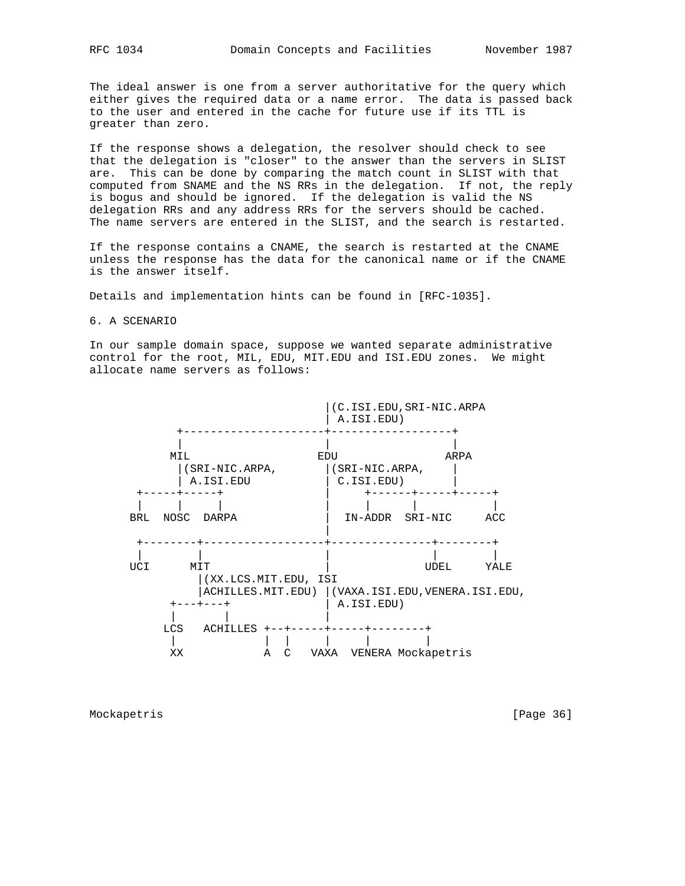The ideal answer is one from a server authoritative for the query which either gives the required data or a name error. The data is passed back to the user and entered in the cache for future use if its TTL is greater than zero.

If the response shows a delegation, the resolver should check to see that the delegation is "closer" to the answer than the servers in SLIST are. This can be done by comparing the match count in SLIST with that computed from SNAME and the NS RRs in the delegation. If not, the reply is bogus and should be ignored. If the delegation is valid the NS delegation RRs and any address RRs for the servers should be cached. The name servers are entered in the SLIST, and the search is restarted.

If the response contains a CNAME, the search is restarted at the CNAME unless the response has the data for the canonical name or if the CNAME is the answer itself.

Details and implementation hints can be found in [RFC-1035].

6. A SCENARIO

In our sample domain space, suppose we wanted separate administrative control for the root, MIL, EDU, MIT.EDU and ISI.EDU zones. We might allocate name servers as follows:



Mockapetris [Page 36]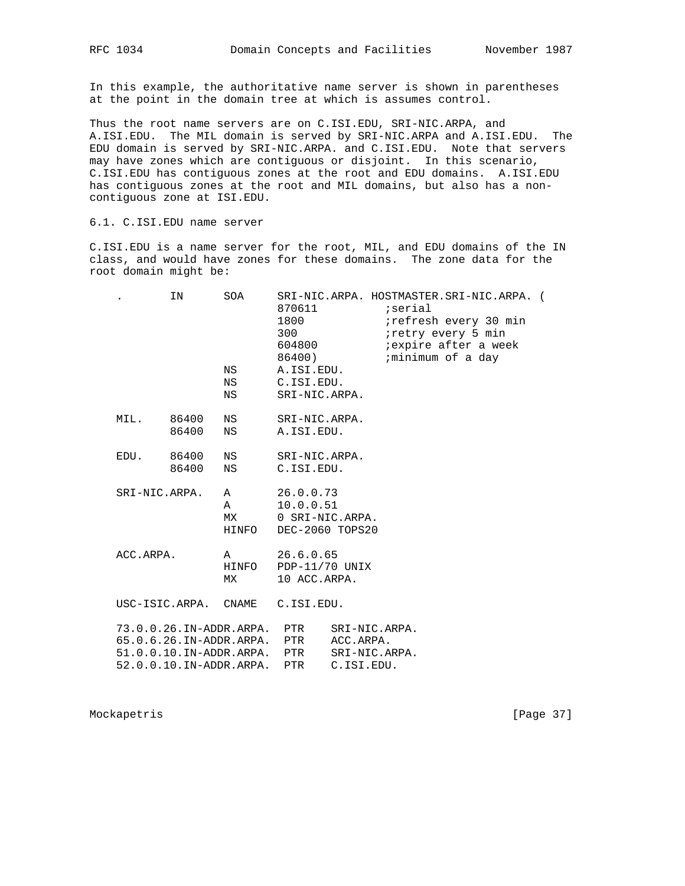In this example, the authoritative name server is shown in parentheses at the point in the domain tree at which is assumes control.

Thus the root name servers are on C.ISI.EDU, SRI-NIC.ARPA, and A.ISI.EDU. The MIL domain is served by SRI-NIC.ARPA and A.ISI.EDU. The EDU domain is served by SRI-NIC.ARPA. and C.ISI.EDU. Note that servers may have zones which are contiguous or disjoint. In this scenario, C.ISI.EDU has contiguous zones at the root and EDU domains. A.ISI.EDU has contiguous zones at the root and MIL domains, but also has a noncontiguous zone at ISI.EDU.

6.1. C.ISI.EDU name server

C.ISI.EDU is a name server for the root, MIL, and EDU domains of the IN class, and would have zones for these domains. The zone data for the root domain might be:

|               | ΙN             | SOA<br>NS<br>NS<br>NS                                                                                    | 870611<br>1800<br>300<br>604800<br>86400)<br>A.ISI.EDU.<br>C.ISI.EDU.<br>SRI-NIC.ARPA. |                         | SRI-NIC.ARPA. HOSTMASTER.SRI-NIC.ARPA. (<br>iserial<br><i>i</i> refresh every 30 min<br>iretry every 5 min<br><i>i</i> expire after a week<br>; minimum of a day |
|---------------|----------------|----------------------------------------------------------------------------------------------------------|----------------------------------------------------------------------------------------|-------------------------|------------------------------------------------------------------------------------------------------------------------------------------------------------------|
| MIL.          | 86400<br>86400 | NS<br>NS                                                                                                 | SRI-NIC.ARPA.<br>A.ISI.EDU.                                                            |                         |                                                                                                                                                                  |
| EDU.          | 86400<br>86400 | NS<br>NS                                                                                                 | SRI-NIC.ARPA.<br>C.ISI.EDU.                                                            |                         |                                                                                                                                                                  |
| SRI-NIC.ARPA. |                | $\mathbb A$<br>$\mathsf{A}$<br>МX<br>HINFO                                                               | 26.0.0.73<br>10.0.0.51<br>0 SRI-NIC.ARPA.<br>DEC-2060 TOPS20                           |                         |                                                                                                                                                                  |
| ACC.ARPA.     |                | $\mathsf{A}$<br>МX                                                                                       | 26.6.0.65<br>HINFO PDP-11/70 UNIX<br>10 ACC.ARPA.                                      |                         |                                                                                                                                                                  |
|               | USC-ISIC.ARPA. | CNAME                                                                                                    | C.ISI.EDU.                                                                             |                         |                                                                                                                                                                  |
|               |                | 73.0.0.26.IN-ADDR.ARPA.<br>65.0.6.26.IN-ADDR.ARPA.<br>51.0.0.10.IN-ADDR.ARPA.<br>52.0.0.10.IN-ADDR.ARPA. | PTR<br>PTR<br>PTR<br>PTR                                                               | ACC.ARPA.<br>C.ISI.EDU. | SRI-NIC.ARPA.<br>SRI-NIC.ARPA.                                                                                                                                   |

Mockapetris [Page 37]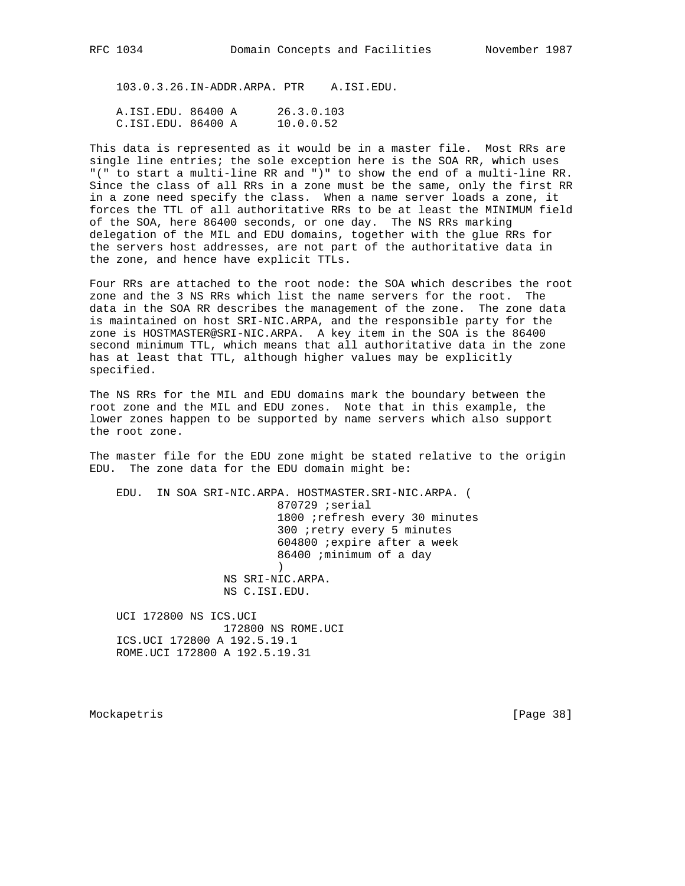103.0.3.26.IN-ADDR.ARPA. PTR A.ISI.EDU.

 A.ISI.EDU. 86400 A 26.3.0.103 C.ISI.EDU. 86400 A 10.0.0.52

This data is represented as it would be in a master file. Most RRs are single line entries; the sole exception here is the SOA RR, which uses "(" to start a multi-line RR and ")" to show the end of a multi-line RR. Since the class of all RRs in a zone must be the same, only the first RR in a zone need specify the class. When a name server loads a zone, it forces the TTL of all authoritative RRs to be at least the MINIMUM field of the SOA, here 86400 seconds, or one day. The NS RRs marking delegation of the MIL and EDU domains, together with the glue RRs for the servers host addresses, are not part of the authoritative data in the zone, and hence have explicit TTLs.

Four RRs are attached to the root node: the SOA which describes the root zone and the 3 NS RRs which list the name servers for the root. The data in the SOA RR describes the management of the zone. The zone data is maintained on host SRI-NIC.ARPA, and the responsible party for the zone is HOSTMASTER@SRI-NIC.ARPA. A key item in the SOA is the 86400 second minimum TTL, which means that all authoritative data in the zone has at least that TTL, although higher values may be explicitly specified.

The NS RRs for the MIL and EDU domains mark the boundary between the root zone and the MIL and EDU zones. Note that in this example, the lower zones happen to be supported by name servers which also support the root zone.

The master file for the EDU zone might be stated relative to the origin EDU. The zone data for the EDU domain might be:

 EDU. IN SOA SRI-NIC.ARPA. HOSTMASTER.SRI-NIC.ARPA. ( 870729 ;serial 1800 ; refresh every 30 minutes 300 ;retry every 5 minutes 604800 ;expire after a week 86400 ;minimum of a day ) NS SRI-NIC.ARPA. NS C.ISI.EDU.

 UCI 172800 NS ICS.UCI 172800 NS ROME.UCI ICS.UCI 172800 A 192.5.19.1 ROME.UCI 172800 A 192.5.19.31

Mockapetris [Page 38]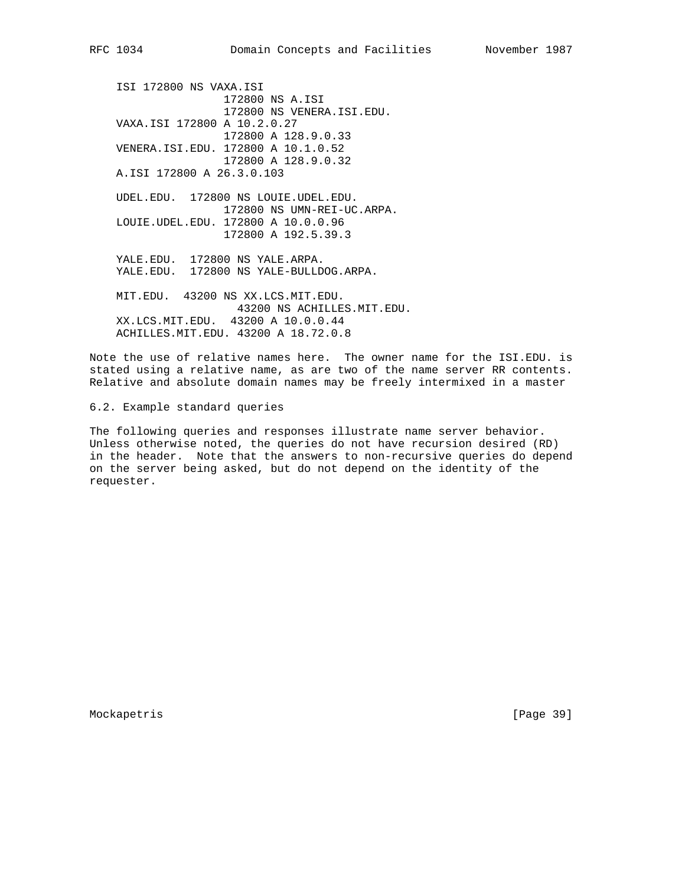ISI 172800 NS VAXA.ISI 172800 NS A.ISI 172800 NS VENERA.ISI.EDU. VAXA.ISI 172800 A 10.2.0.27 172800 A 128.9.0.33 VENERA.ISI.EDU. 172800 A 10.1.0.52 172800 A 128.9.0.32 A.ISI 172800 A 26.3.0.103 UDEL.EDU. 172800 NS LOUIE.UDEL.EDU. 172800 NS UMN-REI-UC.ARPA. LOUIE.UDEL.EDU. 172800 A 10.0.0.96 172800 A 192.5.39.3 YALE.EDU. 172800 NS YALE.ARPA. YALE.EDU. 172800 NS YALE-BULLDOG.ARPA. MIT.EDU. 43200 NS XX.LCS.MIT.EDU. 43200 NS ACHILLES.MIT.EDU. XX.LCS.MIT.EDU. 43200 A 10.0.0.44 ACHILLES.MIT.EDU. 43200 A 18.72.0.8

Note the use of relative names here. The owner name for the ISI.EDU. is stated using a relative name, as are two of the name server RR contents. Relative and absolute domain names may be freely intermixed in a master

6.2. Example standard queries

The following queries and responses illustrate name server behavior. Unless otherwise noted, the queries do not have recursion desired (RD) in the header. Note that the answers to non-recursive queries do depend on the server being asked, but do not depend on the identity of the requester.

Mockapetris [Page 39]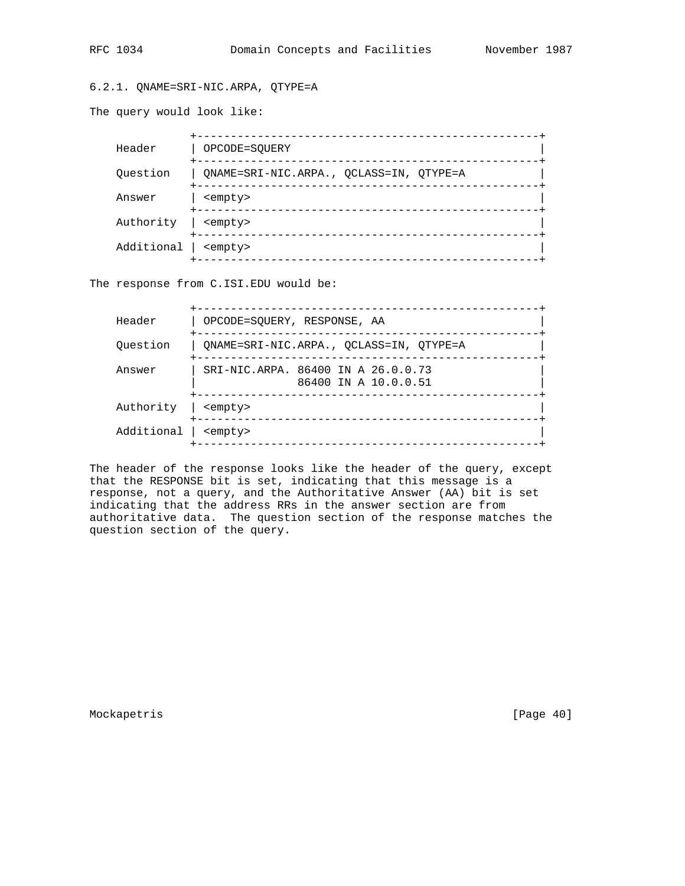6.2.1. QNAME=SRI-NIC.ARPA, QTYPE=A

The query would look like:

| Header     | -------------<br>OPCODE=SOUERY                           |
|------------|----------------------------------------------------------|
| Ouestion   | ONAME=SRI-NIC.ARPA., OCLASS=IN, OTYPE=A<br>------------- |
| Answer     | <empty></empty>                                          |
| Authority  | <empty></empty>                                          |
| Additional | <empty></empty>                                          |

The response from C.ISI.EDU would be:

| Header     | ----------------------<br>OPCODE=SQUERY, RESPONSE, AA<br>----------------------        |
|------------|----------------------------------------------------------------------------------------|
| Ouestion   | ONAME=SRI-NIC.ARPA., OCLASS=IN, OTYPE=A                                                |
| Answer     | SRI-NIC.ARPA, 86400 IN A 26.0.0.73<br>86400 IN A 10.0.0.51<br>________________________ |
| Authority  | <empty><br/>---------------</empty>                                                    |
| Additional | <empty></empty>                                                                        |

The header of the response looks like the header of the query, except that the RESPONSE bit is set, indicating that this message is a response, not a query, and the Authoritative Answer (AA) bit is set indicating that the address RRs in the answer section are from authoritative data. The question section of the response matches the question section of the query.

Mockapetris [Page 40]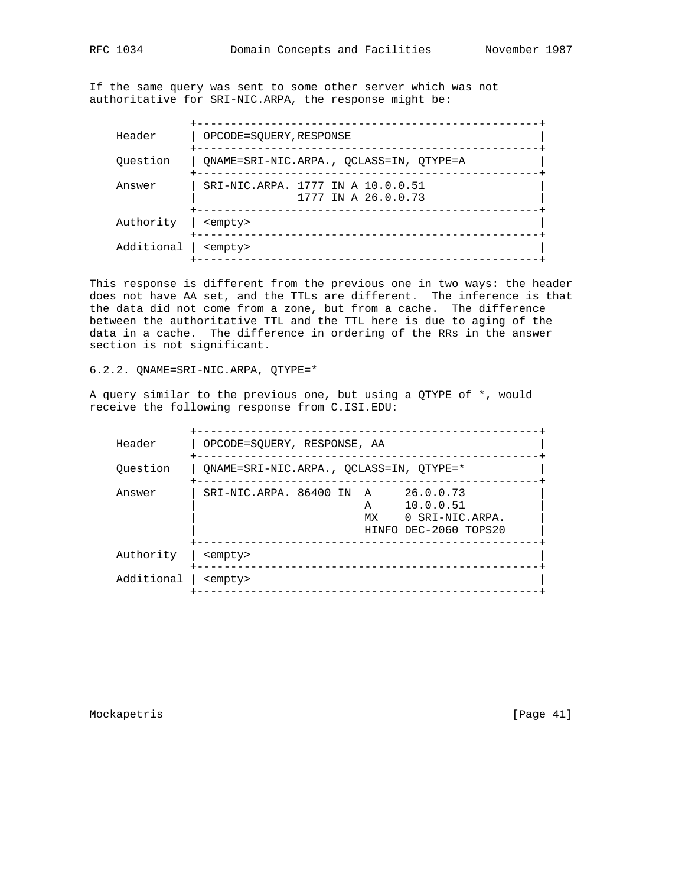If the same query was sent to some other server which was not authoritative for SRI-NIC.ARPA, the response might be:

| Header     | ------------------<br>OPCODE=SOUERY, RESPONSE<br>------------             |
|------------|---------------------------------------------------------------------------|
| Ouestion   | QNAME=SRI-NIC.ARPA., QCLASS=IN, QTYPE=A                                   |
| Answer     | SRI-NIC.ARPA. 1777 IN A 10.0.0.51<br>1777 IN A 26.0.0.73<br>------------- |
| Authority  | <empty></empty>                                                           |
| Additional | <empty></empty>                                                           |

This response is different from the previous one in two ways: the header does not have AA set, and the TTLs are different. The inference is that the data did not come from a zone, but from a cache. The difference between the authoritative TTL and the TTL here is due to aging of the data in a cache. The difference in ordering of the RRs in the answer section is not significant.

6.2.2. QNAME=SRI-NIC.ARPA, QTYPE=\*

A query similar to the previous one, but using a QTYPE of \*, would receive the following response from C.ISI.EDU:

| Header     | _________________________<br>OPCODE=SOUERY, RESPONSE, AA                                                                                 |  |
|------------|------------------------------------------------------------------------------------------------------------------------------------------|--|
| Ouestion   | ONAME=SRI-NIC.ARPA., OCLASS=IN, OTYPE=*                                                                                                  |  |
| Answer     | SRI-NIC.ARPA, 86400 IN<br>26.0.0.73<br>$\mathsf{A}$<br>10.0.0.51<br>A<br>0 SRI-NIC.ARPA.<br>МX<br>HINFO DEC-2060 TOPS20<br>_____________ |  |
| Authority  | <empty></empty>                                                                                                                          |  |
| Additional | <empty></empty>                                                                                                                          |  |

Mockapetris [Page 41]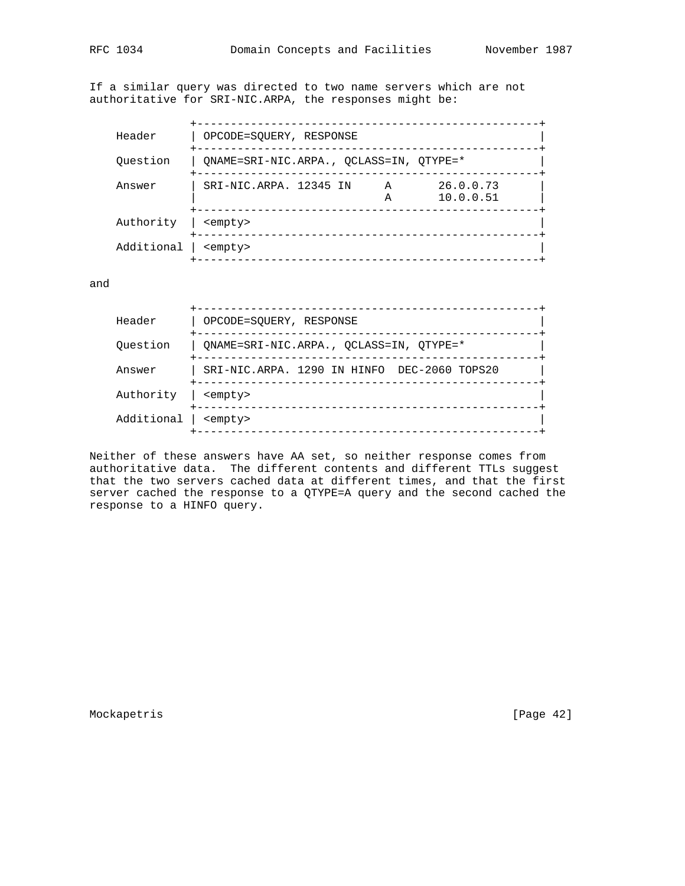If a similar query was directed to two name servers which are not authoritative for SRI-NIC.ARPA, the responses might be:

| Header     | --------------------<br>OPCODE=SOUERY, RESPONSE<br>-------------------------- |
|------------|-------------------------------------------------------------------------------|
| Ouestion   | ONAME=SRI-NIC.ARPA., OCLASS=IN, OTYPE=*<br>----------------                   |
| Answer     | 26.0.0.73<br>SRI-NIC.ARPA. 12345 IN<br>A<br>10.0.0.51<br>A                    |
| Authority  | <empty></empty>                                                               |
| Additional | <empty></empty>                                                               |

and

| Header     | ----------------------<br>OPCODE=SOUERY, RESPONSE<br>. <u>_ _ _ _ _ _ _ _ _ _ _ _ _</u> _ _ |
|------------|---------------------------------------------------------------------------------------------|
| Ouestion   | ONAME=SRI-NIC.ARPA., OCLASS=IN, OTYPE=*<br>---------------------------                      |
| Answer     | SRI-NIC.ARPA. 1290 IN HINFO DEC-2060 TOPS20                                                 |
| Authority  | <empty></empty>                                                                             |
| Additional | <empty></empty>                                                                             |

Neither of these answers have AA set, so neither response comes from authoritative data. The different contents and different TTLs suggest that the two servers cached data at different times, and that the first server cached the response to a QTYPE=A query and the second cached the response to a HINFO query.

Mockapetris [Page 42]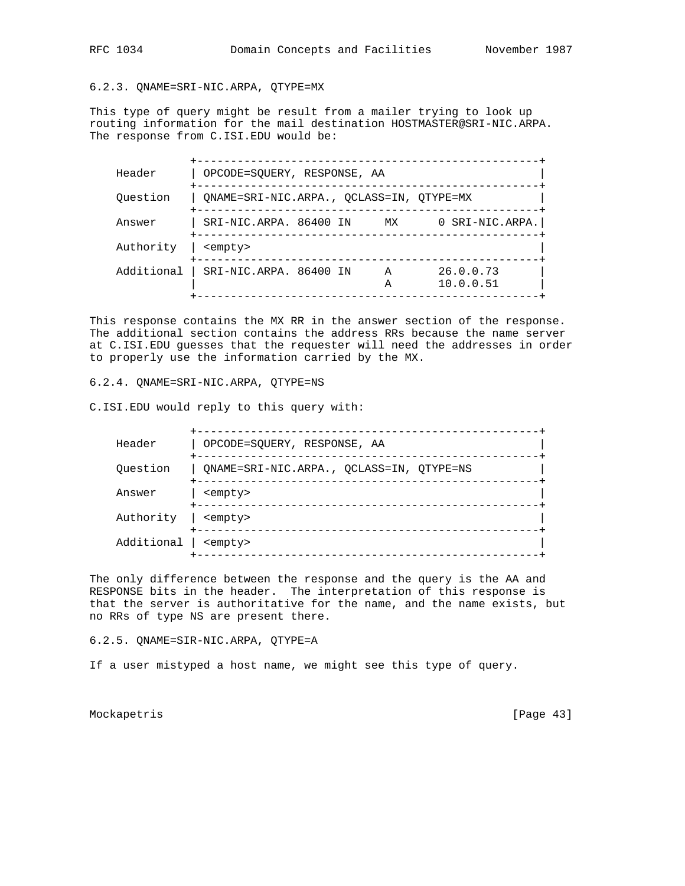# 6.2.3. QNAME=SRI-NIC.ARPA, QTYPE=MX

This type of query might be result from a mailer trying to look up routing information for the mail destination HOSTMASTER@SRI-NIC.ARPA. The response from C.ISI.EDU would be:

| Header     | OPCODE=SOUERY, RESPONSE, AA              |                   | ------------------------<br>--------------------------------- |
|------------|------------------------------------------|-------------------|---------------------------------------------------------------|
| Ouestion   | ONAME=SRI-NIC.ARPA., OCLASS=IN, OTYPE=MX | ----------------- |                                                               |
| Answer     | SRI-NIC.ARPA. 86400 IN                   | MX                | 0 SRI-NIC.ARPA.                                               |
| Authority  | <empty></empty>                          |                   |                                                               |
| Additional | SRI-NIC.ARPA, 86400 IN                   | A<br>A            | 26.0.0.73<br>10.0.0.51                                        |

This response contains the MX RR in the answer section of the response. The additional section contains the address RRs because the name server at C.ISI.EDU guesses that the requester will need the addresses in order to properly use the information carried by the MX.

6.2.4. QNAME=SRI-NIC.ARPA, QTYPE=NS

C.ISI.EDU would reply to this query with:

| Header     | OPCODE=SQUERY, RESPONSE, AA                                        |  |
|------------|--------------------------------------------------------------------|--|
| Ouestion   | ONAME=SRI-NIC.ARPA., OCLASS=IN, OTYPE=NS<br>---------------------- |  |
| Answer     | <empty></empty>                                                    |  |
| Authority  | <empty></empty>                                                    |  |
| Additional | <empty></empty>                                                    |  |
|            |                                                                    |  |

The only difference between the response and the query is the AA and RESPONSE bits in the header. The interpretation of this response is that the server is authoritative for the name, and the name exists, but no RRs of type NS are present there.

6.2.5. QNAME=SIR-NIC.ARPA, QTYPE=A

If a user mistyped a host name, we might see this type of query.

Mockapetris [Page 43]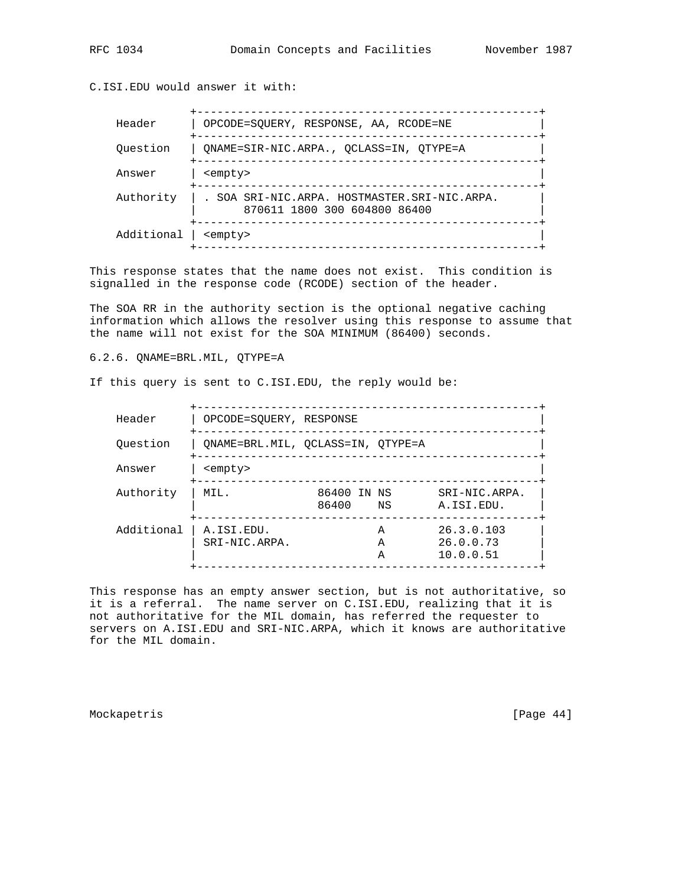C.ISI.EDU would answer it with:

| Header     | -----------------<br>OPCODE=SQUERY, RESPONSE, AA, RCODE=NE<br>-----------------                    |
|------------|----------------------------------------------------------------------------------------------------|
| Ouestion   | ONAME=SIR-NIC.ARPA., OCLASS=IN, OTYPE=A<br>----------------                                        |
| Answer     | <empty><br/>------------------</empty>                                                             |
| Authority  | . SOA SRI-NIC.ARPA. HOSTMASTER.SRI-NIC.ARPA.<br>870611 1800 300 604800 86400<br>------------------ |
| Additional | <empty></empty>                                                                                    |

This response states that the name does not exist. This condition is signalled in the response code (RCODE) section of the header.

The SOA RR in the authority section is the optional negative caching information which allows the resolver using this response to assume that the name will not exist for the SOA MINIMUM (86400) seconds.

6.2.6. QNAME=BRL.MIL, QTYPE=A

If this query is sent to C.ISI.EDU, the reply would be:

| Header     | OPCODE=SOUERY, RESPONSE           |                      | --------------- |                                      |
|------------|-----------------------------------|----------------------|-----------------|--------------------------------------|
| Ouestion   | ONAME=BRL.MIL, OCLASS=IN, OTYPE=A |                      |                 |                                      |
| Answer     | <empty></empty>                   |                      |                 |                                      |
| Authority  | MIL.                              | 86400 IN NS<br>86400 | ΝS              | SRI-NIC.ARPA.<br>A.ISI.EDU.          |
| Additional | A.ISI.EDU.<br>SRI-NIC.ARPA.       |                      | A<br>A<br>A     | 26.3.0.103<br>26.0.0.73<br>10.0.0.51 |

This response has an empty answer section, but is not authoritative, so it is a referral. The name server on C.ISI.EDU, realizing that it is not authoritative for the MIL domain, has referred the requester to servers on A.ISI.EDU and SRI-NIC.ARPA, which it knows are authoritative for the MIL domain.

Mockapetris [Page 44]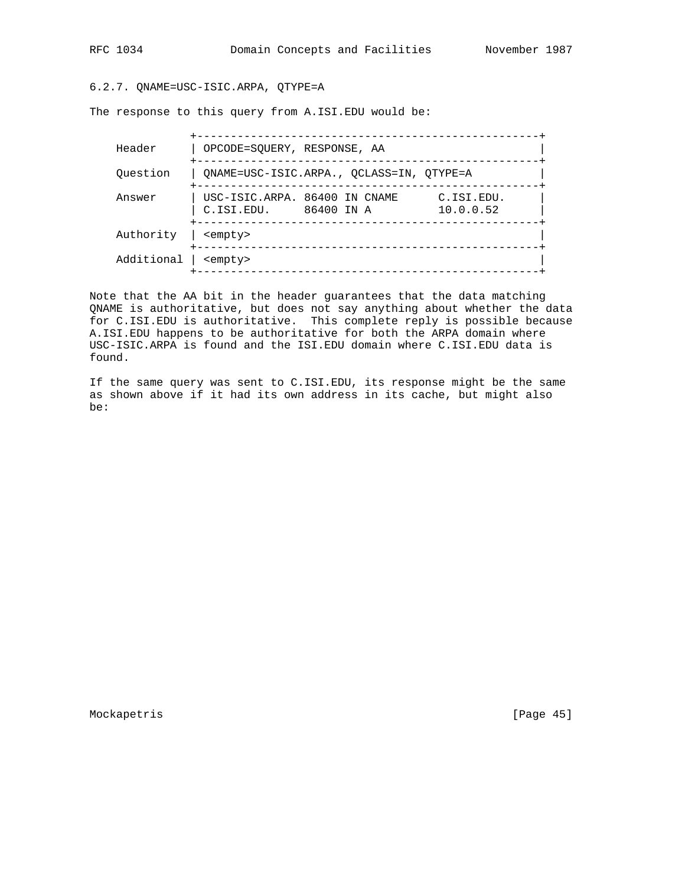# 6.2.7. QNAME=USC-ISIC.ARPA, QTYPE=A

The response to this query from A.ISI.EDU would be:

| Header     | OPCODE=SQUERY, RESPONSE, AA<br>-------------                                                             |
|------------|----------------------------------------------------------------------------------------------------------|
| Ouestion   | ONAME=USC-ISIC.ARPA., OCLASS=IN, OTYPE=A                                                                 |
| Answer     | USC-ISIC.ARPA. 86400 IN CNAME<br>C.ISI.EDU.<br>$C.ISI.EDU.$ 86400 IN A<br>10.0.0.52<br>----------------- |
| Authority  | <empty></empty>                                                                                          |
| Additional | <empty></empty>                                                                                          |

Note that the AA bit in the header guarantees that the data matching QNAME is authoritative, but does not say anything about whether the data for C.ISI.EDU is authoritative. This complete reply is possible because A.ISI.EDU happens to be authoritative for both the ARPA domain where USC-ISIC.ARPA is found and the ISI.EDU domain where C.ISI.EDU data is found.

If the same query was sent to C.ISI.EDU, its response might be the same as shown above if it had its own address in its cache, but might also be:

Mockapetris [Page 45]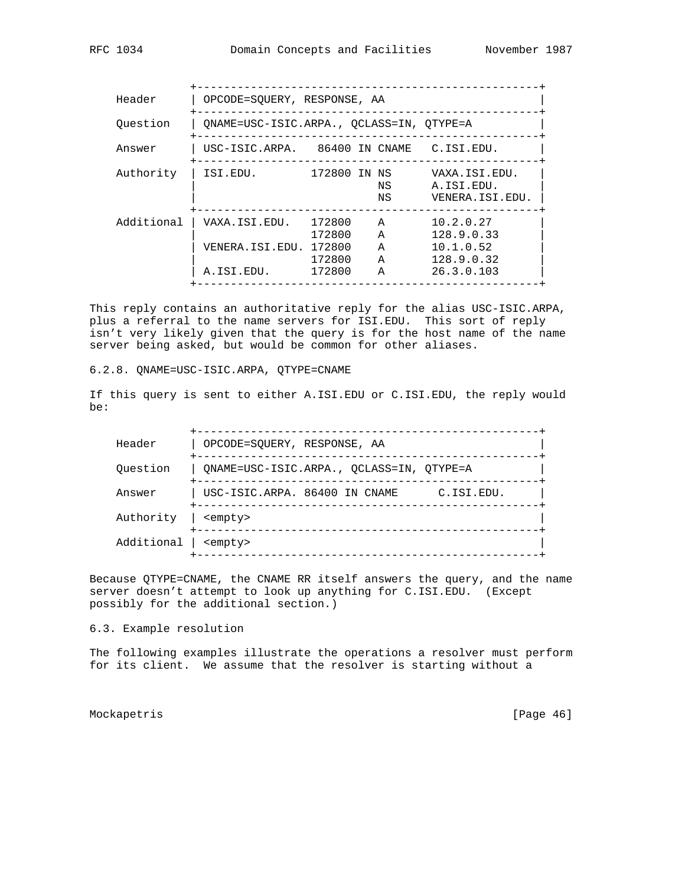| Header     | OPCODE=SOUERY, RESPONSE, AA              |                  | -------------------<br>-------------- |                                                |
|------------|------------------------------------------|------------------|---------------------------------------|------------------------------------------------|
| Ouestion   | ONAME=USC-ISIC.ARPA., OCLASS=IN, OTYPE=A |                  |                                       |                                                |
| Answer     | USC-ISIC.ARPA. 86400 IN CNAME C.ISI.EDU. |                  |                                       |                                                |
| Authority  | ISI.EDU.                                 | 172800 IN NS     | NS<br>NS                              | VAXA.ISI.EDU.<br>A.ISI.EDU.<br>VENERA.ISI.EDU. |
| Additional | VAXA.ISI.EDU.                            | 172800<br>172800 | A<br>A                                | 10.2.0.27<br>128.9.0.33                        |
|            | VENERA.ISI.EDU. 172800<br>A.ISI.EDU.     | 172800<br>172800 | A<br>A<br>A                           | 10.1.0.52<br>128.9.0.32<br>26.3.0.103          |
|            |                                          |                  |                                       |                                                |

This reply contains an authoritative reply for the alias USC-ISIC.ARPA, plus a referral to the name servers for ISI.EDU. This sort of reply isn't very likely given that the query is for the host name of the name server being asked, but would be common for other aliases.

6.2.8. QNAME=USC-ISIC.ARPA, QTYPE=CNAME

If this query is sent to either A.ISI.EDU or C.ISI.EDU, the reply would be:

| Header     | OPCODE=SQUERY, RESPONSE, AA                                                   |
|------------|-------------------------------------------------------------------------------|
| Ouestion   | ONAME=USC-ISIC.ARPA., OCLASS=IN, OTYPE=A<br>-----------------------           |
| Answer     | USC-ISIC.ARPA. 86400 IN CNAME<br>C.ISI.EDU.<br>------------------------------ |
| Authority  | <empty></empty>                                                               |
| Additional | <empty></empty>                                                               |

Because QTYPE=CNAME, the CNAME RR itself answers the query, and the name server doesn't attempt to look up anything for C.ISI.EDU. (Except possibly for the additional section.)

6.3. Example resolution

The following examples illustrate the operations a resolver must perform for its client. We assume that the resolver is starting without a

Mockapetris [Page 46]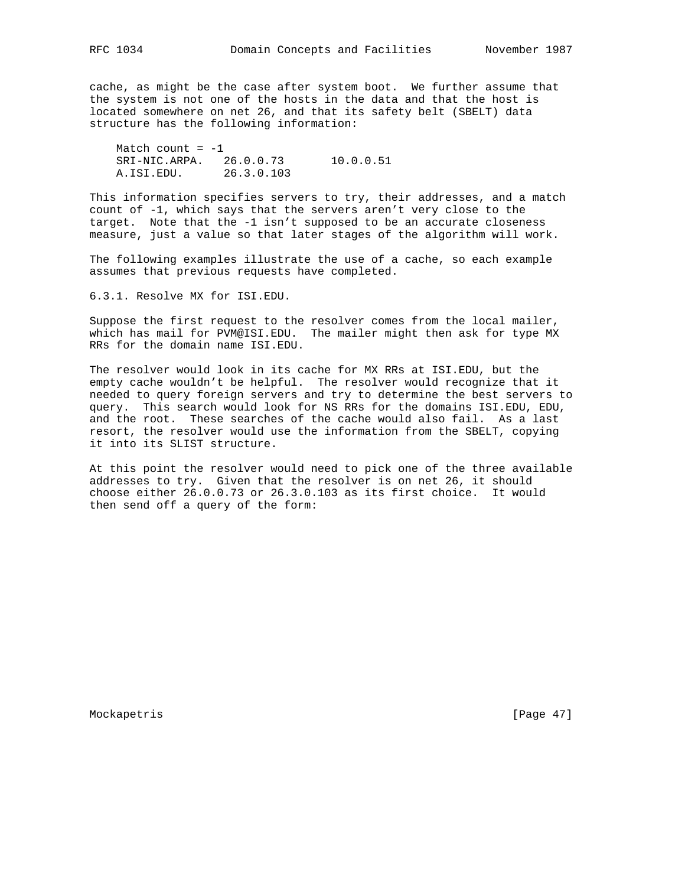cache, as might be the case after system boot. We further assume that the system is not one of the hosts in the data and that the host is located somewhere on net 26, and that its safety belt (SBELT) data structure has the following information:

Match count  $= -1$ SRI-NIC.ARPA. 26.0.0.73 10.0.0.51 A.ISI.EDU. 26.3.0.103

This information specifies servers to try, their addresses, and a match count of -1, which says that the servers aren't very close to the target. Note that the -1 isn't supposed to be an accurate closeness measure, just a value so that later stages of the algorithm will work.

The following examples illustrate the use of a cache, so each example assumes that previous requests have completed.

6.3.1. Resolve MX for ISI.EDU.

Suppose the first request to the resolver comes from the local mailer, which has mail for PVM@ISI.EDU. The mailer might then ask for type MX RRs for the domain name ISI.EDU.

The resolver would look in its cache for MX RRs at ISI.EDU, but the empty cache wouldn't be helpful. The resolver would recognize that it needed to query foreign servers and try to determine the best servers to query. This search would look for NS RRs for the domains ISI.EDU, EDU, and the root. These searches of the cache would also fail. As a last resort, the resolver would use the information from the SBELT, copying it into its SLIST structure.

At this point the resolver would need to pick one of the three available addresses to try. Given that the resolver is on net 26, it should choose either 26.0.0.73 or 26.3.0.103 as its first choice. It would then send off a query of the form:

Mockapetris [Page 47]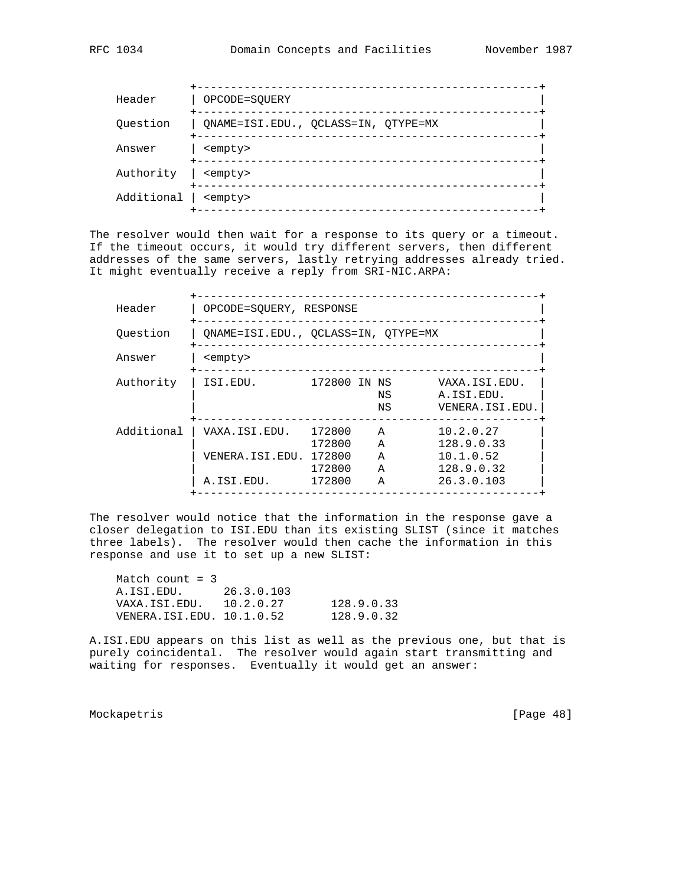| Header     | OPCODE=SOUERY                                                   |
|------------|-----------------------------------------------------------------|
| Ouestion   | QNAME=ISI.EDU., QCLASS=IN, QTYPE=MX<br>------------------------ |
| Answer     | <empty></empty>                                                 |
| Authority  | <empty></empty>                                                 |
| Additional | <empty></empty>                                                 |
|            |                                                                 |

The resolver would then wait for a response to its query or a timeout. If the timeout occurs, it would try different servers, then different addresses of the same servers, lastly retrying addresses already tried. It might eventually receive a reply from SRI-NIC.ARPA:

| Header     | OPCODE=SQUERY, RESPONSE             |                  | --------------               |                                                  |
|------------|-------------------------------------|------------------|------------------------------|--------------------------------------------------|
| Ouestion   | ONAME=ISI.EDU., OCLASS=IN, OTYPE=MX |                  |                              |                                                  |
| Answer     | <empty></empty>                     |                  | <u> Leonardo Leonardo Le</u> |                                                  |
| Authority  | ISI.EDU.                            | 172800 IN NS     | ΝS<br>ΝS                     | VAXA.ISI.EDU.<br>A.ISI.EDU.<br>VENERA. ISI. EDU. |
| Additional | VAXA.ISI.EDU.                       | 172800<br>172800 | A<br>A                       | 10.2.0.27<br>128.9.0.33                          |
|            | VENERA.ISI.EDU.                     | 172800<br>172800 | A<br>A                       | 10.1.0.52<br>128.9.0.32                          |
|            | A.ISI.EDU.                          | 172800           | A                            | 26.3.0.103                                       |

The resolver would notice that the information in the response gave a closer delegation to ISI.EDU than its existing SLIST (since it matches three labels). The resolver would then cache the information in this response and use it to set up a new SLIST:

| Match count = $3$           |            |            |
|-----------------------------|------------|------------|
| A.ISI.EDU.                  | 26.3.0.103 |            |
| VAXA.ISI.EDU.               | 10.2.0.27  | 128.9.0.33 |
| VENERA. ISI. EDU. 10.1.0.52 |            | 128.9.0.32 |

A.ISI.EDU appears on this list as well as the previous one, but that is purely coincidental. The resolver would again start transmitting and waiting for responses. Eventually it would get an answer:

Mockapetris [Page 48]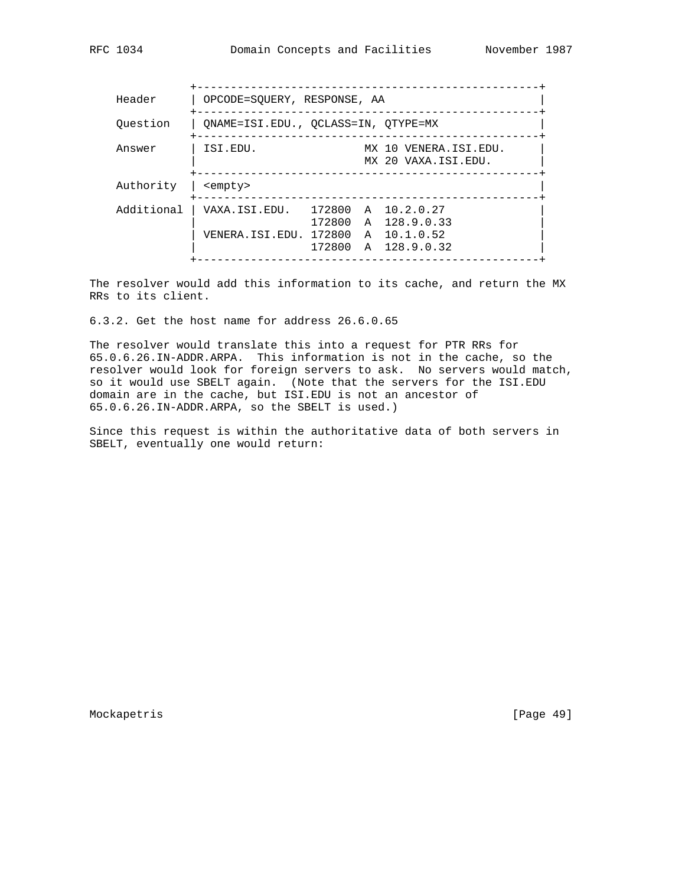|            |                                     |                                                                 | ___________________________________                                |
|------------|-------------------------------------|-----------------------------------------------------------------|--------------------------------------------------------------------|
| Header     | OPCODE=SOUERY, RESPONSE, AA         |                                                                 | ___________________________________                                |
| Ouestion   | ONAME=ISI.EDU., OCLASS=IN, OTYPE=MX |                                                                 |                                                                    |
| Answer     | ISI.EDU.                            |                                                                 | MX 10 VENERA.ISI.EDU.<br>MX 20 VAXA.ISI.EDU.<br>------------------ |
| Authority  | <empty></empty>                     |                                                                 |                                                                    |
| Additional | VAXA.ISI.EDU.<br>VENERA.ISI.EDU.    | 172800<br>172800<br>$\mathbb A$<br>172800<br><b>A</b><br>172800 | A 10.2.0.27<br>128.9.0.33<br>10.1.0.52<br>A 128.9.0.32             |
|            |                                     |                                                                 |                                                                    |

The resolver would add this information to its cache, and return the MX RRs to its client.

6.3.2. Get the host name for address 26.6.0.65

The resolver would translate this into a request for PTR RRs for 65.0.6.26.IN-ADDR.ARPA. This information is not in the cache, so the resolver would look for foreign servers to ask. No servers would match, so it would use SBELT again. (Note that the servers for the ISI.EDU domain are in the cache, but ISI.EDU is not an ancestor of 65.0.6.26.IN-ADDR.ARPA, so the SBELT is used.)

Since this request is within the authoritative data of both servers in SBELT, eventually one would return:

Mockapetris [Page 49]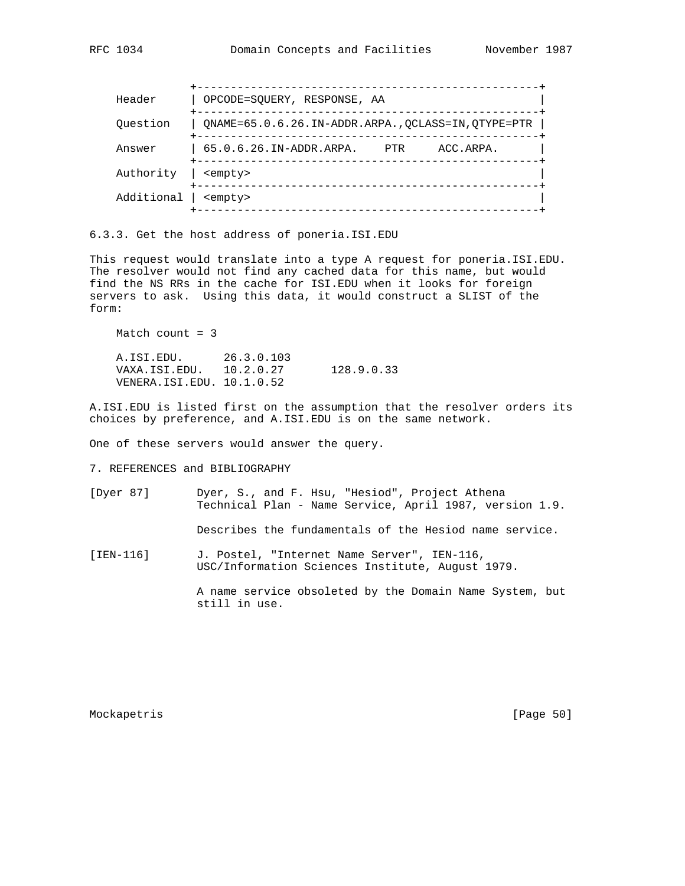| Header     | OPCODE=SOUERY, RESPONSE, AA<br>____________________                                          |
|------------|----------------------------------------------------------------------------------------------|
| Ouestion   | ONAME=65.0.6.26.IN-ADDR.ARPA., OCLASS=IN, OTYPE=PTR<br>_____________________________________ |
| Answer     | $65.0.6.26.$ IN-ADDR.ARPA.<br>ACC.ARPA.<br>PTR                                               |
| Authority  | <empty></empty>                                                                              |
| Additional | <empty></empty>                                                                              |
|            |                                                                                              |

6.3.3. Get the host address of poneria.ISI.EDU

This request would translate into a type A request for poneria.ISI.EDU. The resolver would not find any cached data for this name, but would find the NS RRs in the cache for ISI.EDU when it looks for foreign servers to ask. Using this data, it would construct a SLIST of the form:

Match count = 3

 A.ISI.EDU. 26.3.0.103 VAXA.ISI.EDU. 10.2.0.27 128.9.0.33 VENERA.ISI.EDU. 10.1.0.52

A.ISI.EDU is listed first on the assumption that the resolver orders its choices by preference, and A.ISI.EDU is on the same network.

One of these servers would answer the query.

7. REFERENCES and BIBLIOGRAPHY

[Dyer 87] Dyer, S., and F. Hsu, "Hesiod", Project Athena Technical Plan - Name Service, April 1987, version 1.9.

Describes the fundamentals of the Hesiod name service.

[IEN-116] J. Postel, "Internet Name Server", IEN-116, USC/Information Sciences Institute, August 1979.

> A name service obsoleted by the Domain Name System, but still in use.

Mockapetris [Page 50]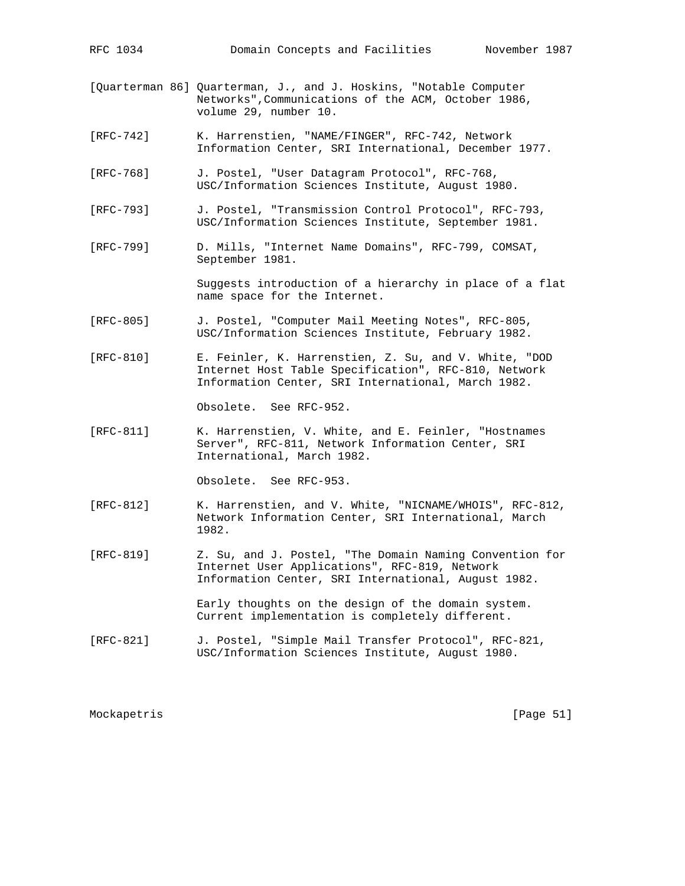- [Quarterman 86] Quarterman, J., and J. Hoskins, "Notable Computer Networks",Communications of the ACM, October 1986, volume 29, number 10.
- [RFC-742] K. Harrenstien, "NAME/FINGER", RFC-742, Network Information Center, SRI International, December 1977.
- [RFC-768] J. Postel, "User Datagram Protocol", RFC-768, USC/Information Sciences Institute, August 1980.
- [RFC-793] J. Postel, "Transmission Control Protocol", RFC-793, USC/Information Sciences Institute, September 1981.
- [RFC-799] D. Mills, "Internet Name Domains", RFC-799, COMSAT, September 1981.

 Suggests introduction of a hierarchy in place of a flat name space for the Internet.

- [RFC-805] J. Postel, "Computer Mail Meeting Notes", RFC-805, USC/Information Sciences Institute, February 1982.
- [RFC-810] E. Feinler, K. Harrenstien, Z. Su, and V. White, "DOD Internet Host Table Specification", RFC-810, Network Information Center, SRI International, March 1982.

Obsolete. See RFC-952.

[RFC-811] K. Harrenstien, V. White, and E. Feinler, "Hostnames Server", RFC-811, Network Information Center, SRI International, March 1982.

Obsolete. See RFC-953.

- [RFC-812] K. Harrenstien, and V. White, "NICNAME/WHOIS", RFC-812, Network Information Center, SRI International, March 1982.
- [RFC-819] Z. Su, and J. Postel, "The Domain Naming Convention for Internet User Applications", RFC-819, Network Information Center, SRI International, August 1982.

 Early thoughts on the design of the domain system. Current implementation is completely different.

[RFC-821] J. Postel, "Simple Mail Transfer Protocol", RFC-821, USC/Information Sciences Institute, August 1980.

Mockapetris [Page 51]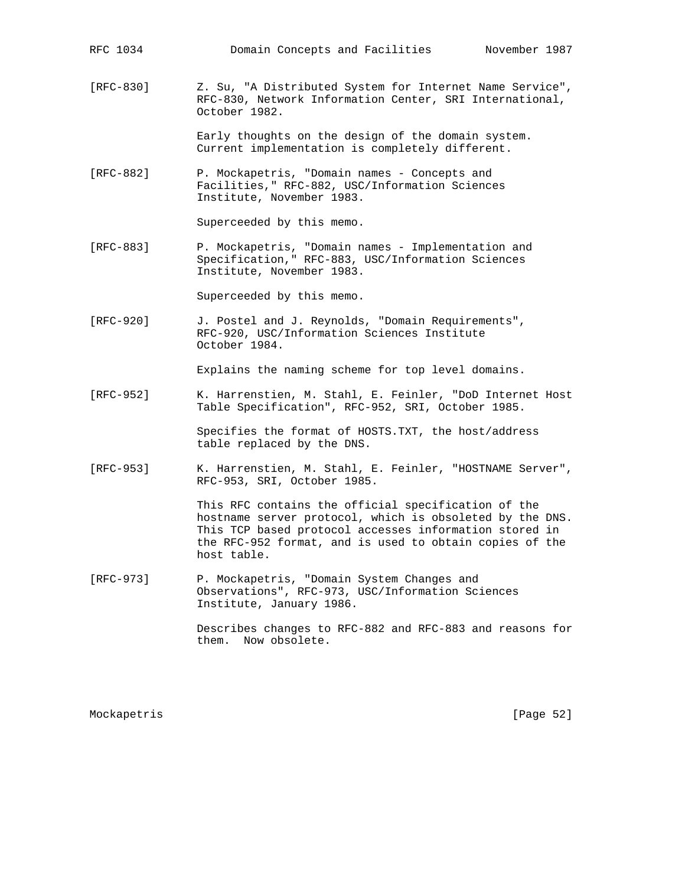[RFC-830] Z. Su, "A Distributed System for Internet Name Service", RFC-830, Network Information Center, SRI International, October 1982.

> Early thoughts on the design of the domain system. Current implementation is completely different.

[RFC-882] P. Mockapetris, "Domain names - Concepts and Facilities," RFC-882, USC/Information Sciences Institute, November 1983.

Superceeded by this memo.

[RFC-883] P. Mockapetris, "Domain names - Implementation and Specification," RFC-883, USC/Information Sciences Institute, November 1983.

Superceeded by this memo.

[RFC-920] J. Postel and J. Reynolds, "Domain Requirements", RFC-920, USC/Information Sciences Institute October 1984.

Explains the naming scheme for top level domains.

[RFC-952] K. Harrenstien, M. Stahl, E. Feinler, "DoD Internet Host Table Specification", RFC-952, SRI, October 1985.

> Specifies the format of HOSTS.TXT, the host/address table replaced by the DNS.

[RFC-953] K. Harrenstien, M. Stahl, E. Feinler, "HOSTNAME Server", RFC-953, SRI, October 1985.

> This RFC contains the official specification of the hostname server protocol, which is obsoleted by the DNS. This TCP based protocol accesses information stored in the RFC-952 format, and is used to obtain copies of the host table.

[RFC-973] P. Mockapetris, "Domain System Changes and Observations", RFC-973, USC/Information Sciences Institute, January 1986.

> Describes changes to RFC-882 and RFC-883 and reasons for them. Now obsolete.

Mockapetris [Page 52]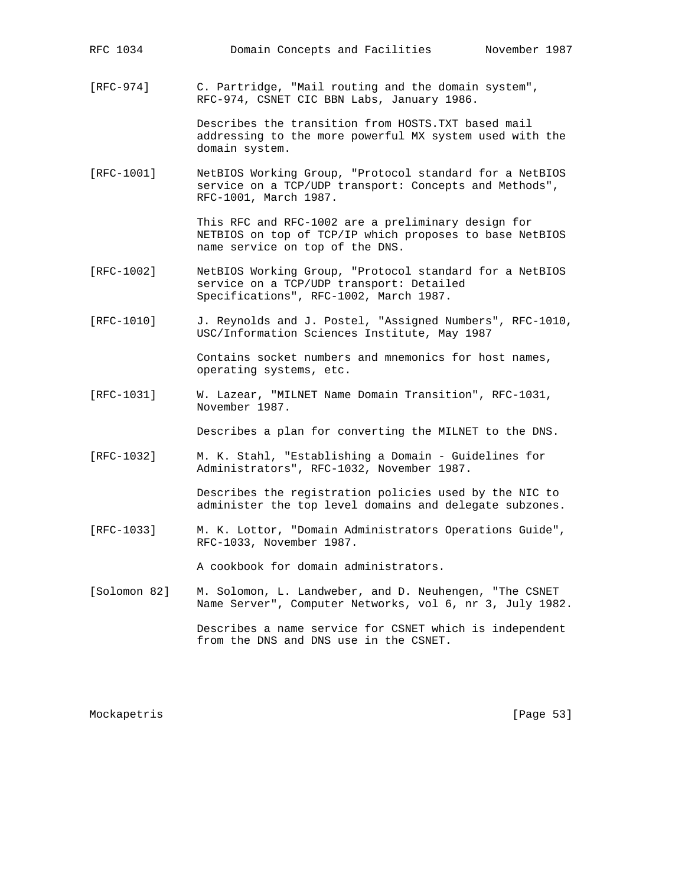[RFC-974] C. Partridge, "Mail routing and the domain system", RFC-974, CSNET CIC BBN Labs, January 1986.

> Describes the transition from HOSTS.TXT based mail addressing to the more powerful MX system used with the domain system.

[RFC-1001] NetBIOS Working Group, "Protocol standard for a NetBIOS service on a TCP/UDP transport: Concepts and Methods", RFC-1001, March 1987.

> This RFC and RFC-1002 are a preliminary design for NETBIOS on top of TCP/IP which proposes to base NetBIOS name service on top of the DNS.

- [RFC-1002] NetBIOS Working Group, "Protocol standard for a NetBIOS service on a TCP/UDP transport: Detailed Specifications", RFC-1002, March 1987.
- [RFC-1010] J. Reynolds and J. Postel, "Assigned Numbers", RFC-1010, USC/Information Sciences Institute, May 1987

 Contains socket numbers and mnemonics for host names, operating systems, etc.

[RFC-1031] W. Lazear, "MILNET Name Domain Transition", RFC-1031, November 1987.

Describes a plan for converting the MILNET to the DNS.

[RFC-1032] M. K. Stahl, "Establishing a Domain - Guidelines for Administrators", RFC-1032, November 1987.

> Describes the registration policies used by the NIC to administer the top level domains and delegate subzones.

[RFC-1033] M. K. Lottor, "Domain Administrators Operations Guide", RFC-1033, November 1987.

A cookbook for domain administrators.

[Solomon 82] M. Solomon, L. Landweber, and D. Neuhengen, "The CSNET Name Server", Computer Networks, vol 6, nr 3, July 1982. Describes a name service for CSNET which is independent from the DNS and DNS use in the CSNET.

Mockapetris [Page 53]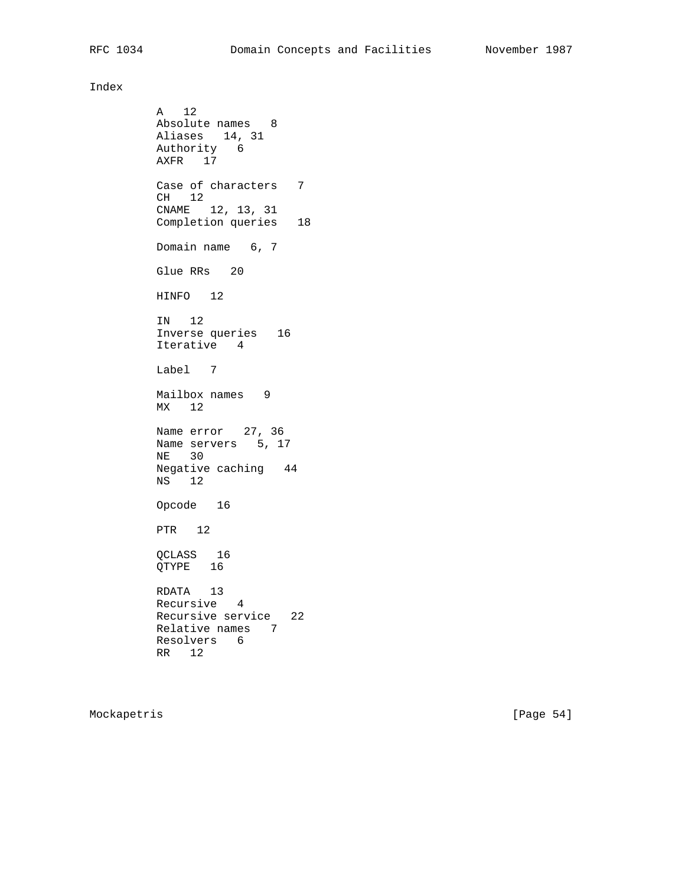# Index

 A 12 Absolute names 8 Aliases 14, 31 Authority 6 AXFR 17 Case of characters 7 CH 12 CNAME 12, 13, 31 Completion queries 18 Domain name 6, 7 Glue RRs 20 HINFO 12 IN 12 Inverse queries 16 Iterative 4 Label 7 Mailbox names 9 MX 12 Name error 27, 36 Name servers 5, 17 NE 30 Negative caching 44 NS 12 Opcode 16 PTR 12 QCLASS 16 QTYPE 16 RDATA 13 Recursive 4 Recursive service 22 Relative names 7 Resolvers 6 RR 12

Mockapetris [Page 54]